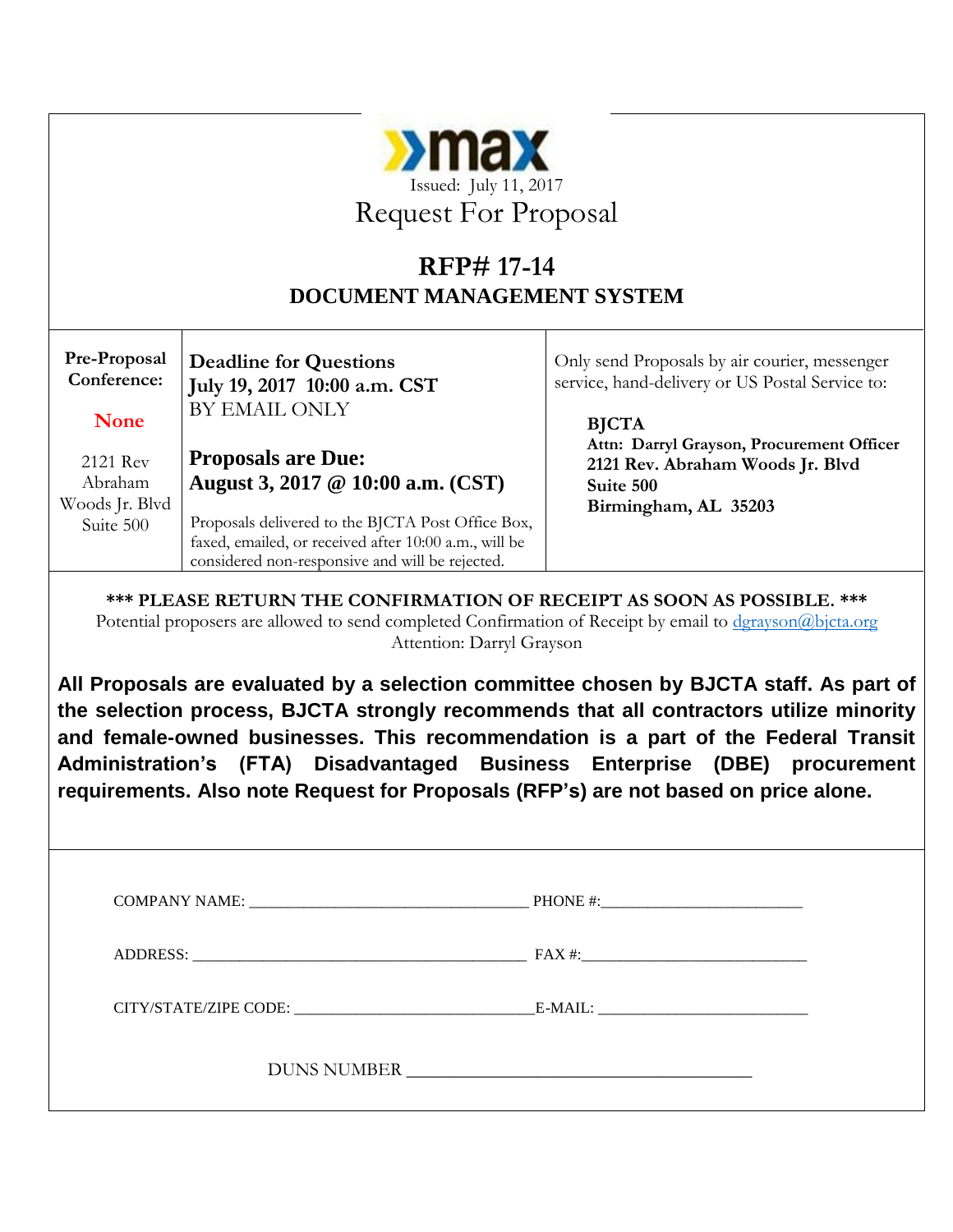| $\sum_{\alpha}$                                                                                                                                                                                                 |                                                                                                          |                                                                                                                                                                                                                                                                                                                                                     |  |  |  |
|-----------------------------------------------------------------------------------------------------------------------------------------------------------------------------------------------------------------|----------------------------------------------------------------------------------------------------------|-----------------------------------------------------------------------------------------------------------------------------------------------------------------------------------------------------------------------------------------------------------------------------------------------------------------------------------------------------|--|--|--|
|                                                                                                                                                                                                                 | Issued: July 11, 2017                                                                                    |                                                                                                                                                                                                                                                                                                                                                     |  |  |  |
|                                                                                                                                                                                                                 | <b>Request For Proposal</b>                                                                              |                                                                                                                                                                                                                                                                                                                                                     |  |  |  |
|                                                                                                                                                                                                                 | <b>RFP# 17-14</b>                                                                                        |                                                                                                                                                                                                                                                                                                                                                     |  |  |  |
|                                                                                                                                                                                                                 | <b>DOCUMENT MANAGEMENT SYSTEM</b>                                                                        |                                                                                                                                                                                                                                                                                                                                                     |  |  |  |
|                                                                                                                                                                                                                 |                                                                                                          |                                                                                                                                                                                                                                                                                                                                                     |  |  |  |
| Pre-Proposal<br>Conference:                                                                                                                                                                                     | <b>Deadline for Questions</b>                                                                            | Only send Proposals by air courier, messenger<br>service, hand-delivery or US Postal Service to:                                                                                                                                                                                                                                                    |  |  |  |
|                                                                                                                                                                                                                 | July 19, 2017 10:00 a.m. CST<br>BY EMAIL ONLY                                                            |                                                                                                                                                                                                                                                                                                                                                     |  |  |  |
| <b>None</b>                                                                                                                                                                                                     |                                                                                                          | <b>BJCTA</b><br>Attn: Darryl Grayson, Procurement Officer                                                                                                                                                                                                                                                                                           |  |  |  |
| 2121 Rev                                                                                                                                                                                                        | <b>Proposals are Due:</b>                                                                                | 2121 Rev. Abraham Woods Jr. Blvd                                                                                                                                                                                                                                                                                                                    |  |  |  |
| Abraham<br>Woods Jr. Blvd                                                                                                                                                                                       | August 3, 2017 @ 10:00 a.m. (CST)                                                                        | Suite 500<br>Birmingham, AL 35203                                                                                                                                                                                                                                                                                                                   |  |  |  |
| Suite 500                                                                                                                                                                                                       | Proposals delivered to the BJCTA Post Office Box,                                                        |                                                                                                                                                                                                                                                                                                                                                     |  |  |  |
|                                                                                                                                                                                                                 | faxed, emailed, or received after 10:00 a.m., will be<br>considered non-responsive and will be rejected. |                                                                                                                                                                                                                                                                                                                                                     |  |  |  |
| *** PLEASE RETURN THE CONFIRMATION OF RECEIPT AS SOON AS POSSIBLE. ***<br>Potential proposers are allowed to send completed Confirmation of Receipt by email to dgrayson@bjcta.org<br>Attention: Darryl Grayson |                                                                                                          |                                                                                                                                                                                                                                                                                                                                                     |  |  |  |
|                                                                                                                                                                                                                 | requirements. Also note Request for Proposals (RFP's) are not based on price alone.                      | All Proposals are evaluated by a selection committee chosen by BJCTA staff. As part of<br>the selection process, BJCTA strongly recommends that all contractors utilize minority<br>and female-owned businesses. This recommendation is a part of the Federal Transit<br>Administration's (FTA) Disadvantaged Business Enterprise (DBE) procurement |  |  |  |
|                                                                                                                                                                                                                 |                                                                                                          |                                                                                                                                                                                                                                                                                                                                                     |  |  |  |
|                                                                                                                                                                                                                 |                                                                                                          |                                                                                                                                                                                                                                                                                                                                                     |  |  |  |
|                                                                                                                                                                                                                 |                                                                                                          |                                                                                                                                                                                                                                                                                                                                                     |  |  |  |
|                                                                                                                                                                                                                 |                                                                                                          |                                                                                                                                                                                                                                                                                                                                                     |  |  |  |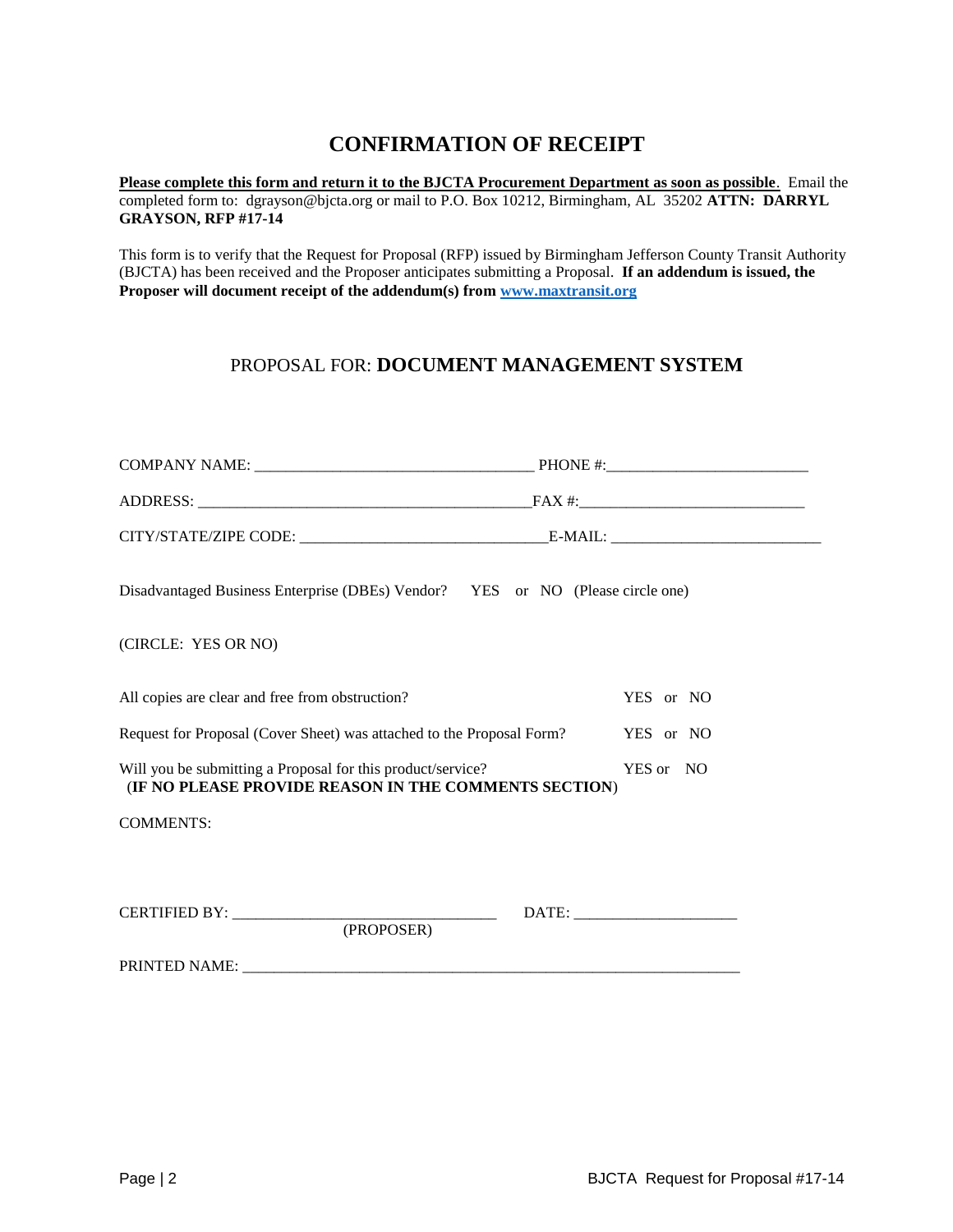# **CONFIRMATION OF RECEIPT**

**Please complete this form and return it to the BJCTA Procurement Department as soon as possible**. Email the completed form to: dgrayson@bjcta.org or mail to P.O. Box 10212, Birmingham, AL 35202 **ATTN: DARRYL GRAYSON, RFP #17-14**

This form is to verify that the Request for Proposal (RFP) issued by Birmingham Jefferson County Transit Authority (BJCTA) has been received and the Proposer anticipates submitting a Proposal. **If an addendum is issued, the Proposer will document receipt of the addendum(s) from [www.maxtransit.org](http://www.maxtransit.org/)**

# PROPOSAL FOR: **DOCUMENT MANAGEMENT SYSTEM**

| Disadvantaged Business Enterprise (DBEs) Vendor? YES or NO (Please circle one)                                                                                                          |                                     |
|-----------------------------------------------------------------------------------------------------------------------------------------------------------------------------------------|-------------------------------------|
| (CIRCLE: YES OR NO)                                                                                                                                                                     |                                     |
| All copies are clear and free from obstruction?<br>Request for Proposal (Cover Sheet) was attached to the Proposal Form?<br>Will you be submitting a Proposal for this product/service? | YES or NO<br>YES or NO<br>YES or NO |
| (IF NO PLEASE PROVIDE REASON IN THE COMMENTS SECTION)                                                                                                                                   |                                     |
| <b>COMMENTS:</b>                                                                                                                                                                        |                                     |
| (PROPOSER)                                                                                                                                                                              |                                     |
|                                                                                                                                                                                         |                                     |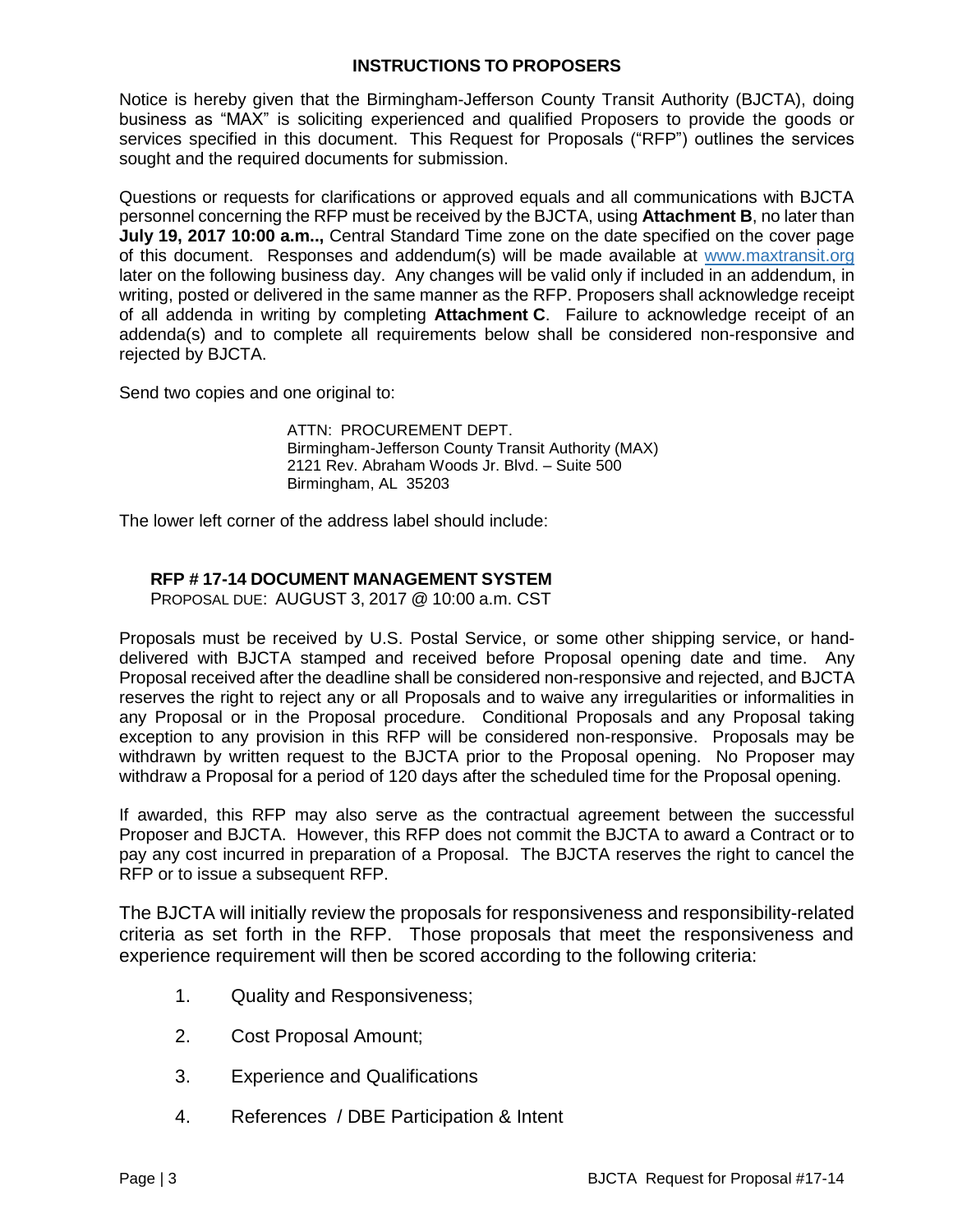### **INSTRUCTIONS TO PROPOSERS**

Notice is hereby given that the Birmingham-Jefferson County Transit Authority (BJCTA), doing business as "MAX" is soliciting experienced and qualified Proposers to provide the goods or services specified in this document. This Request for Proposals ("RFP") outlines the services sought and the required documents for submission.

Questions or requests for clarifications or approved equals and all communications with BJCTA personnel concerning the RFP must be received by the BJCTA, using **Attachment B**, no later than **July 19, 2017 10:00 a.m..,** Central Standard Time zone on the date specified on the cover page of this document. Responses and addendum(s) will be made available at www.maxtransit.org later on the following business day. Any changes will be valid only if included in an addendum, in writing, posted or delivered in the same manner as the RFP. Proposers shall acknowledge receipt of all addenda in writing by completing **Attachment C**. Failure to acknowledge receipt of an addenda(s) and to complete all requirements below shall be considered non-responsive and rejected by BJCTA.

Send two copies and one original to:

ATTN: PROCUREMENT DEPT. Birmingham-Jefferson County Transit Authority (MAX) 2121 Rev. Abraham Woods Jr. Blvd. – Suite 500 Birmingham, AL 35203

The lower left corner of the address label should include:

## **RFP # 17-14 DOCUMENT MANAGEMENT SYSTEM**

PROPOSAL DUE: AUGUST 3, 2017 @ 10:00 a.m. CST

Proposals must be received by U.S. Postal Service, or some other shipping service, or handdelivered with BJCTA stamped and received before Proposal opening date and time. Any Proposal received after the deadline shall be considered non-responsive and rejected, and BJCTA reserves the right to reject any or all Proposals and to waive any irregularities or informalities in any Proposal or in the Proposal procedure. Conditional Proposals and any Proposal taking exception to any provision in this RFP will be considered non-responsive. Proposals may be withdrawn by written request to the BJCTA prior to the Proposal opening. No Proposer may withdraw a Proposal for a period of 120 days after the scheduled time for the Proposal opening.

If awarded, this RFP may also serve as the contractual agreement between the successful Proposer and BJCTA. However, this RFP does not commit the BJCTA to award a Contract or to pay any cost incurred in preparation of a Proposal. The BJCTA reserves the right to cancel the RFP or to issue a subsequent RFP.

The BJCTA will initially review the proposals for responsiveness and responsibility-related criteria as set forth in the RFP. Those proposals that meet the responsiveness and experience requirement will then be scored according to the following criteria:

- 1. Quality and Responsiveness;
- 2. Cost Proposal Amount;
- 3. Experience and Qualifications
- 4. References / DBE Participation & Intent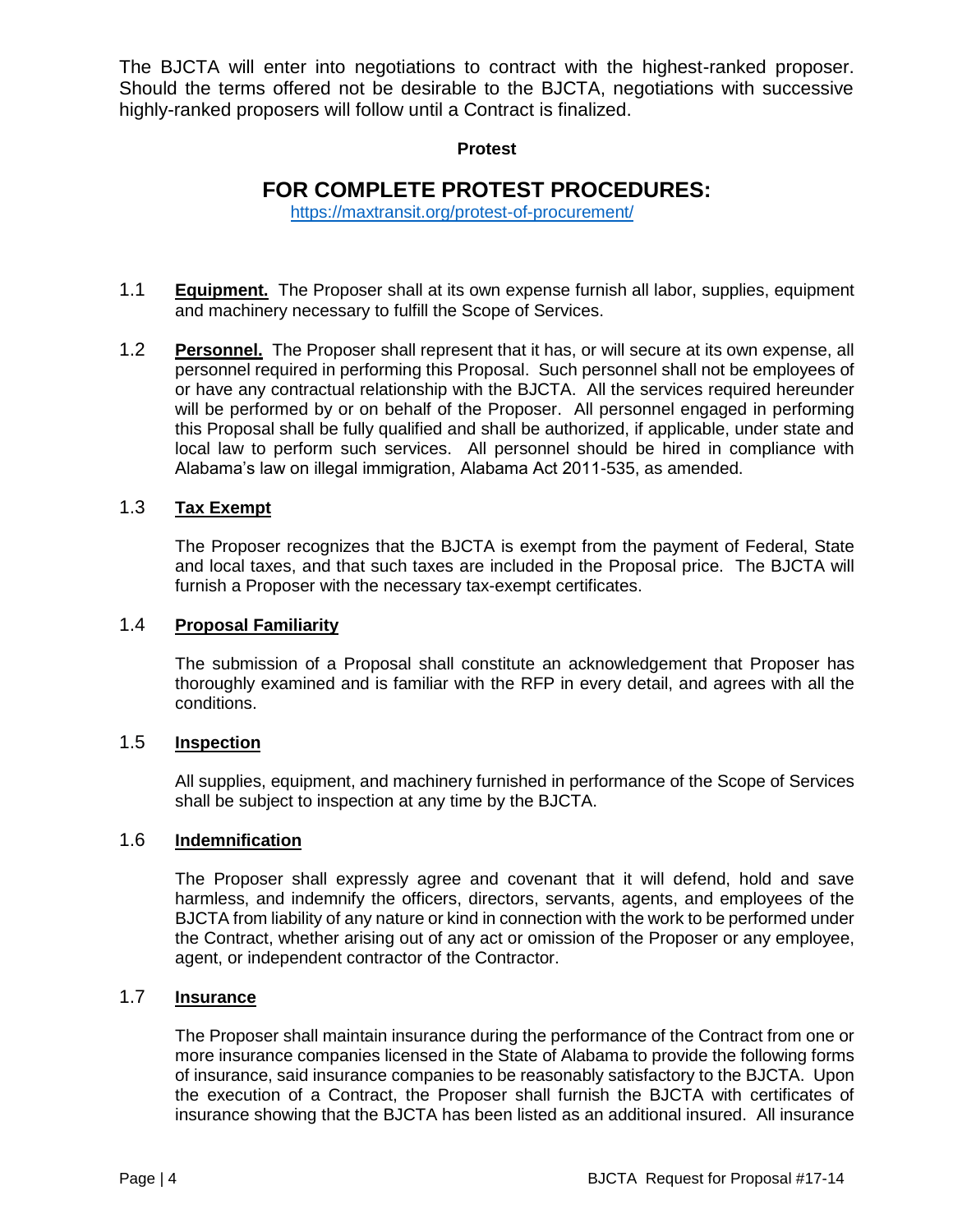The BJCTA will enter into negotiations to contract with the highest-ranked proposer. Should the terms offered not be desirable to the BJCTA, negotiations with successive highly-ranked proposers will follow until a Contract is finalized.

#### **Protest**

# **FOR COMPLETE PROTEST PROCEDURES:**

<https://maxtransit.org/protest-of-procurement/>

- 1.1 **Equipment.** The Proposer shall at its own expense furnish all labor, supplies, equipment and machinery necessary to fulfill the Scope of Services.
- 1.2 **Personnel.** The Proposer shall represent that it has, or will secure at its own expense, all personnel required in performing this Proposal. Such personnel shall not be employees of or have any contractual relationship with the BJCTA. All the services required hereunder will be performed by or on behalf of the Proposer. All personnel engaged in performing this Proposal shall be fully qualified and shall be authorized, if applicable, under state and local law to perform such services. All personnel should be hired in compliance with Alabama's law on illegal immigration, Alabama Act 2011-535, as amended.

## 1.3 **Tax Exempt**

The Proposer recognizes that the BJCTA is exempt from the payment of Federal, State and local taxes, and that such taxes are included in the Proposal price. The BJCTA will furnish a Proposer with the necessary tax-exempt certificates.

#### 1.4 **Proposal Familiarity**

The submission of a Proposal shall constitute an acknowledgement that Proposer has thoroughly examined and is familiar with the RFP in every detail, and agrees with all the conditions.

#### 1.5 **Inspection**

All supplies, equipment, and machinery furnished in performance of the Scope of Services shall be subject to inspection at any time by the BJCTA.

#### 1.6 **Indemnification**

The Proposer shall expressly agree and covenant that it will defend, hold and save harmless, and indemnify the officers, directors, servants, agents, and employees of the BJCTA from liability of any nature or kind in connection with the work to be performed under the Contract, whether arising out of any act or omission of the Proposer or any employee, agent, or independent contractor of the Contractor.

#### 1.7 **Insurance**

The Proposer shall maintain insurance during the performance of the Contract from one or more insurance companies licensed in the State of Alabama to provide the following forms of insurance, said insurance companies to be reasonably satisfactory to the BJCTA. Upon the execution of a Contract, the Proposer shall furnish the BJCTA with certificates of insurance showing that the BJCTA has been listed as an additional insured. All insurance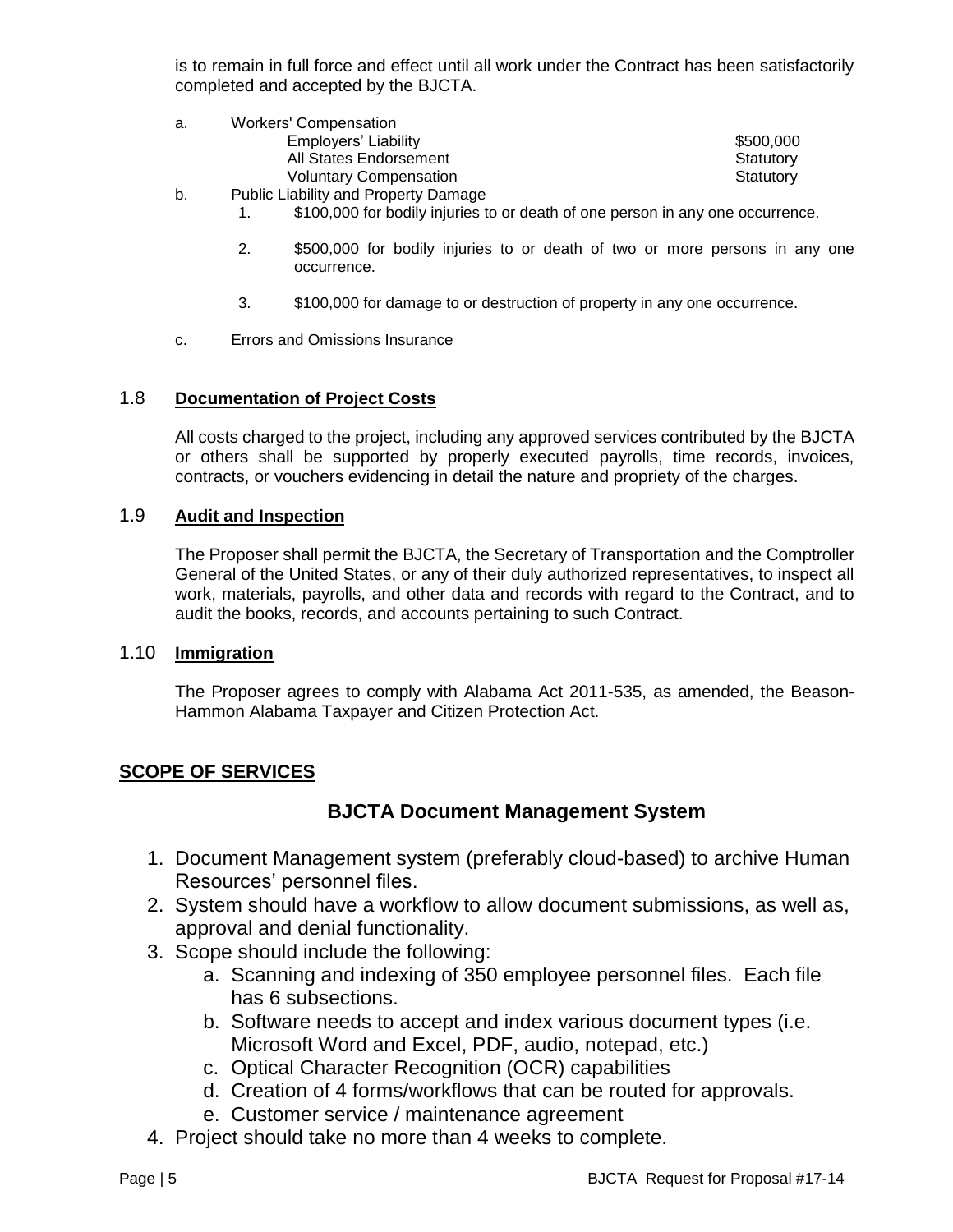is to remain in full force and effect until all work under the Contract has been satisfactorily completed and accepted by the BJCTA.

| а. | Workers' Compensation                       |           |
|----|---------------------------------------------|-----------|
|    | Employers' Liability                        | \$500,000 |
|    | All States Endorsement                      | Statutory |
|    | <b>Voluntary Compensation</b>               | Statutory |
| b. | <b>Public Liability and Property Damage</b> |           |

- 1. \$100,000 for bodily injuries to or death of one person in any one occurrence.
- 2. \$500,000 for bodily injuries to or death of two or more persons in any one occurrence.
- 3. \$100,000 for damage to or destruction of property in any one occurrence.
- c. Errors and Omissions Insurance

#### 1.8 **Documentation of Project Costs**

All costs charged to the project, including any approved services contributed by the BJCTA or others shall be supported by properly executed payrolls, time records, invoices, contracts, or vouchers evidencing in detail the nature and propriety of the charges.

#### 1.9 **Audit and Inspection**

The Proposer shall permit the BJCTA, the Secretary of Transportation and the Comptroller General of the United States, or any of their duly authorized representatives, to inspect all work, materials, payrolls, and other data and records with regard to the Contract, and to audit the books, records, and accounts pertaining to such Contract.

#### 1.10 **Immigration**

The Proposer agrees to comply with Alabama Act 2011-535, as amended, the Beason-Hammon Alabama Taxpayer and Citizen Protection Act.

## **SCOPE OF SERVICES**

# **BJCTA Document Management System**

- 1. Document Management system (preferably cloud-based) to archive Human Resources' personnel files.
- 2. System should have a workflow to allow document submissions, as well as, approval and denial functionality.
- 3. Scope should include the following:
	- a. Scanning and indexing of 350 employee personnel files. Each file has 6 subsections.
	- b. Software needs to accept and index various document types (i.e. Microsoft Word and Excel, PDF, audio, notepad, etc.)
	- c. Optical Character Recognition (OCR) capabilities
	- d. Creation of 4 forms/workflows that can be routed for approvals.
	- e. Customer service / maintenance agreement
- 4. Project should take no more than 4 weeks to complete.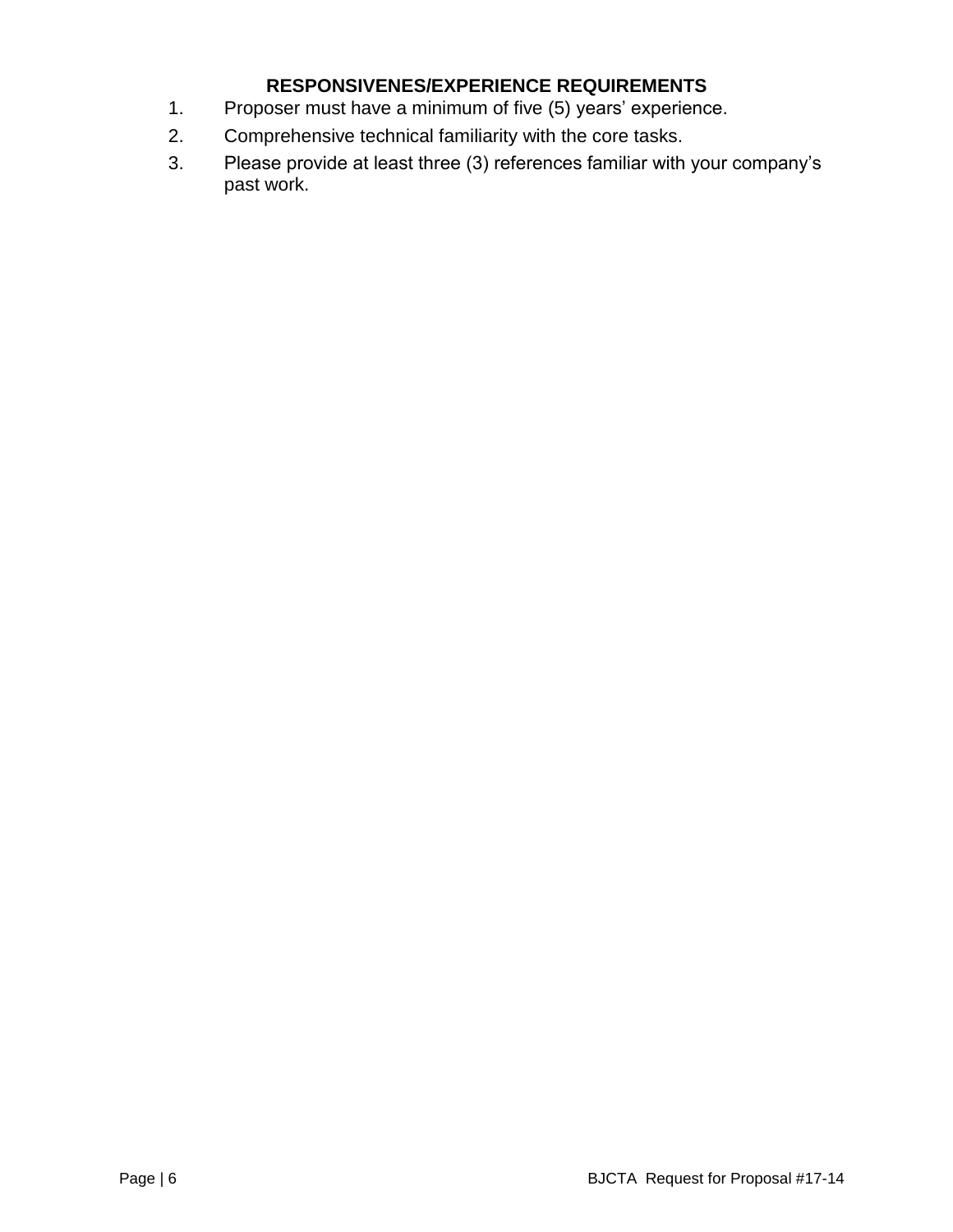# **RESPONSIVENES/EXPERIENCE REQUIREMENTS**

- 1. Proposer must have a minimum of five (5) years' experience.
- 2. Comprehensive technical familiarity with the core tasks.
- 3. Please provide at least three (3) references familiar with your company's past work.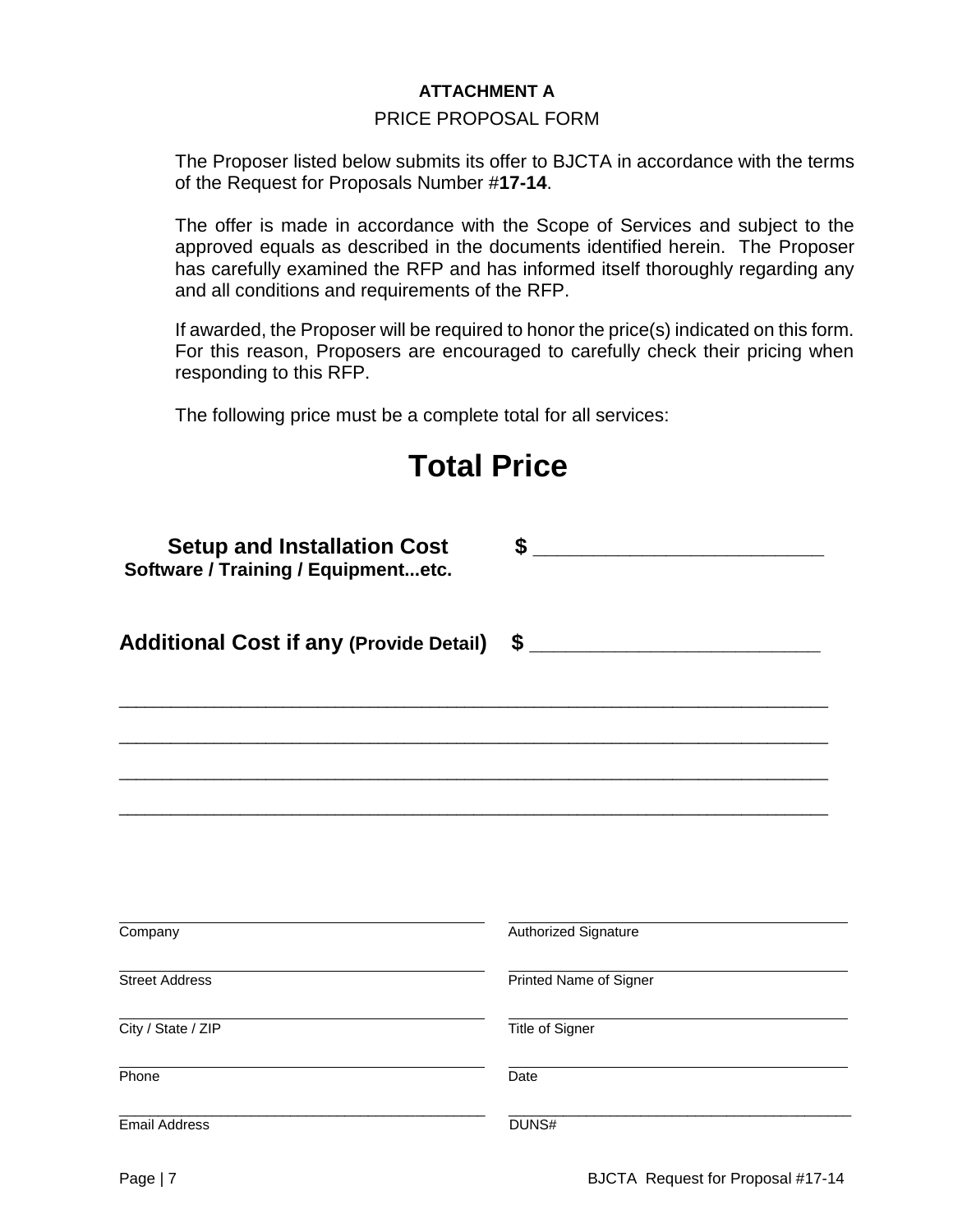## **ATTACHMENT A**

#### PRICE PROPOSAL FORM

The Proposer listed below submits its offer to BJCTA in accordance with the terms of the Request for Proposals Number #**17-14**.

The offer is made in accordance with the Scope of Services and subject to the approved equals as described in the documents identified herein. The Proposer has carefully examined the RFP and has informed itself thoroughly regarding any and all conditions and requirements of the RFP.

If awarded, the Proposer will be required to honor the price(s) indicated on this form. For this reason, Proposers are encouraged to carefully check their pricing when responding to this RFP.

The following price must be a complete total for all services:

| <b>Total Price</b>                                                               |                        |  |
|----------------------------------------------------------------------------------|------------------------|--|
| <b>Setup and Installation Cost</b><br><b>Software / Training / Equipmentetc.</b> | \$                     |  |
| <b>Additional Cost if any (Provide Detail)</b>                                   | \$                     |  |
|                                                                                  |                        |  |
|                                                                                  |                        |  |
|                                                                                  |                        |  |
| Company                                                                          | Authorized Signature   |  |
| <b>Street Address</b>                                                            | Printed Name of Signer |  |
| City / State / ZIP                                                               | Title of Signer        |  |
| Phone                                                                            | Date                   |  |
| <b>Email Address</b>                                                             | DUNS#                  |  |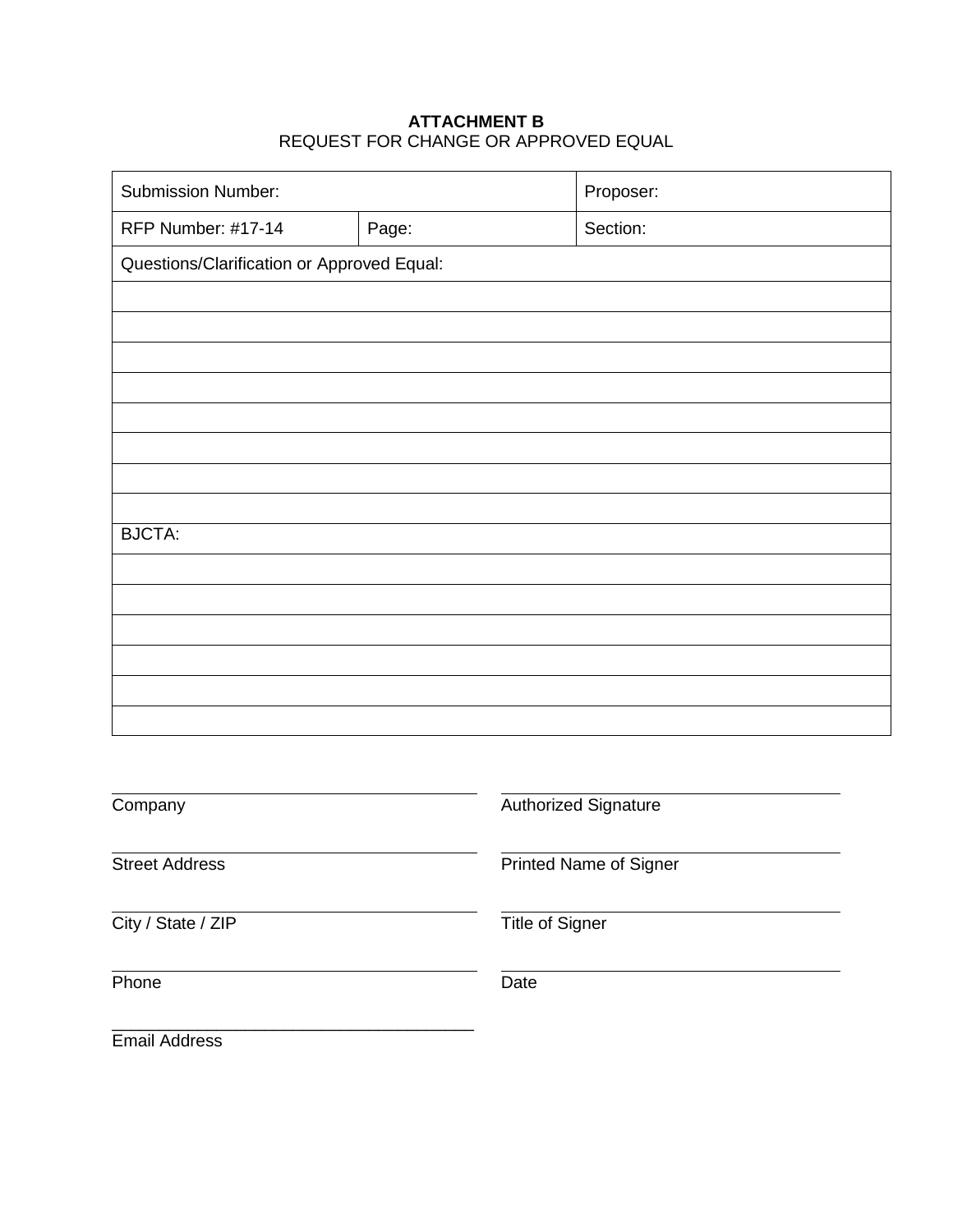## **ATTACHMENT B** REQUEST FOR CHANGE OR APPROVED EQUAL

| <b>Submission Number:</b>                  |                 | Proposer:              |
|--------------------------------------------|-----------------|------------------------|
| <b>RFP Number: #17-14</b>                  | Page:           | Section:               |
| Questions/Clarification or Approved Equal: |                 |                        |
|                                            |                 |                        |
|                                            |                 |                        |
|                                            |                 |                        |
|                                            |                 |                        |
|                                            |                 |                        |
|                                            |                 |                        |
|                                            |                 |                        |
| <b>BJCTA:</b>                              |                 |                        |
|                                            |                 |                        |
|                                            |                 |                        |
|                                            |                 |                        |
|                                            |                 |                        |
|                                            |                 |                        |
|                                            |                 |                        |
| Company                                    |                 | Authorized Signature   |
| <b>Street Address</b>                      |                 | Printed Name of Signer |
| City / State / ZIP                         | Title of Signer |                        |
| Phone                                      | Date            |                        |

Email Address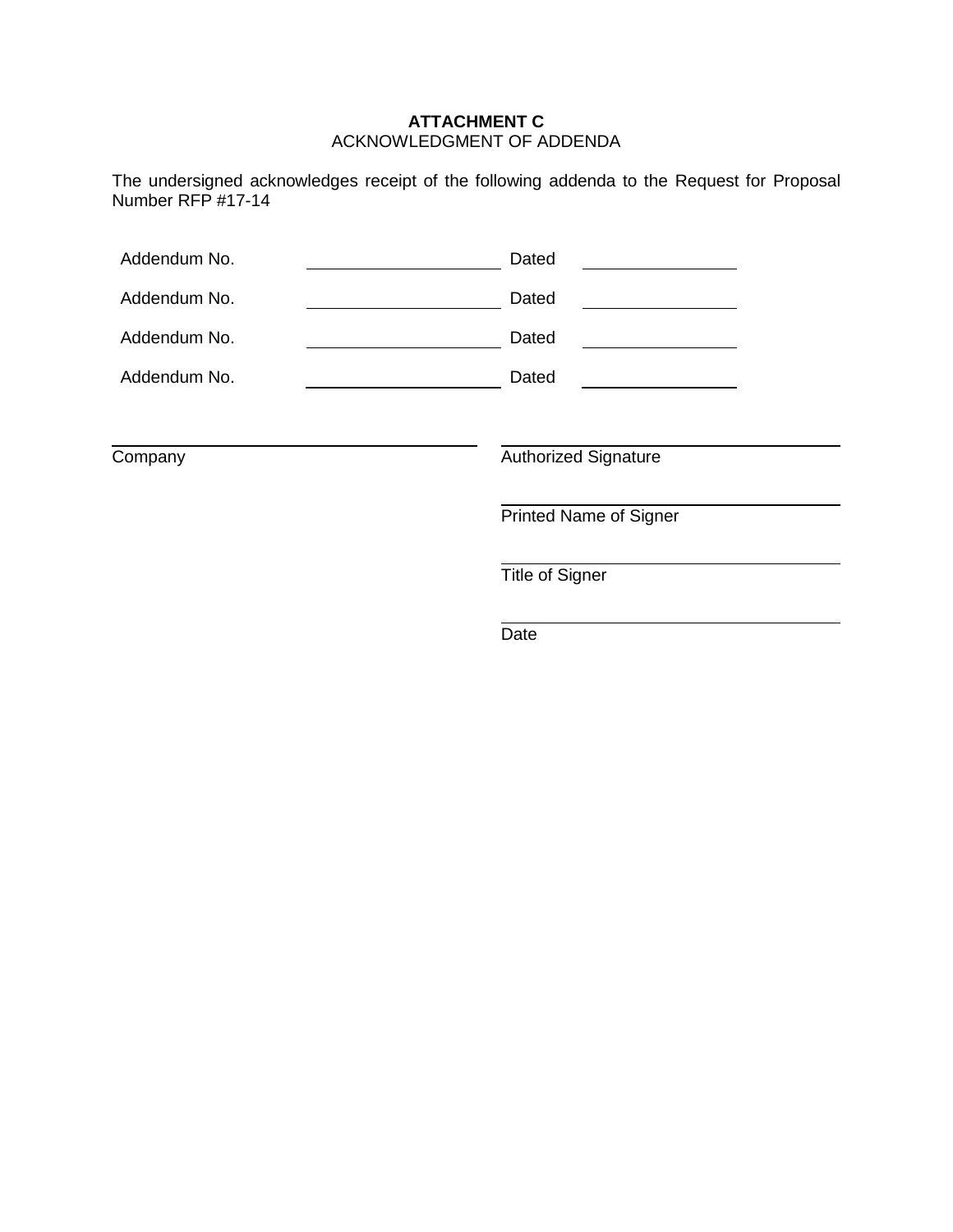#### **ATTACHMENT C** ACKNOWLEDGMENT OF ADDENDA

The undersigned acknowledges receipt of the following addenda to the Request for Proposal Number RFP #17-14

| Addendum No. | Dated                         |
|--------------|-------------------------------|
| Addendum No. | Dated                         |
| Addendum No. | Dated                         |
| Addendum No. | Dated                         |
|              |                               |
| Company      | <b>Authorized Signature</b>   |
|              | <b>Printed Name of Signer</b> |
|              | <b>Title of Signer</b>        |
|              | Date                          |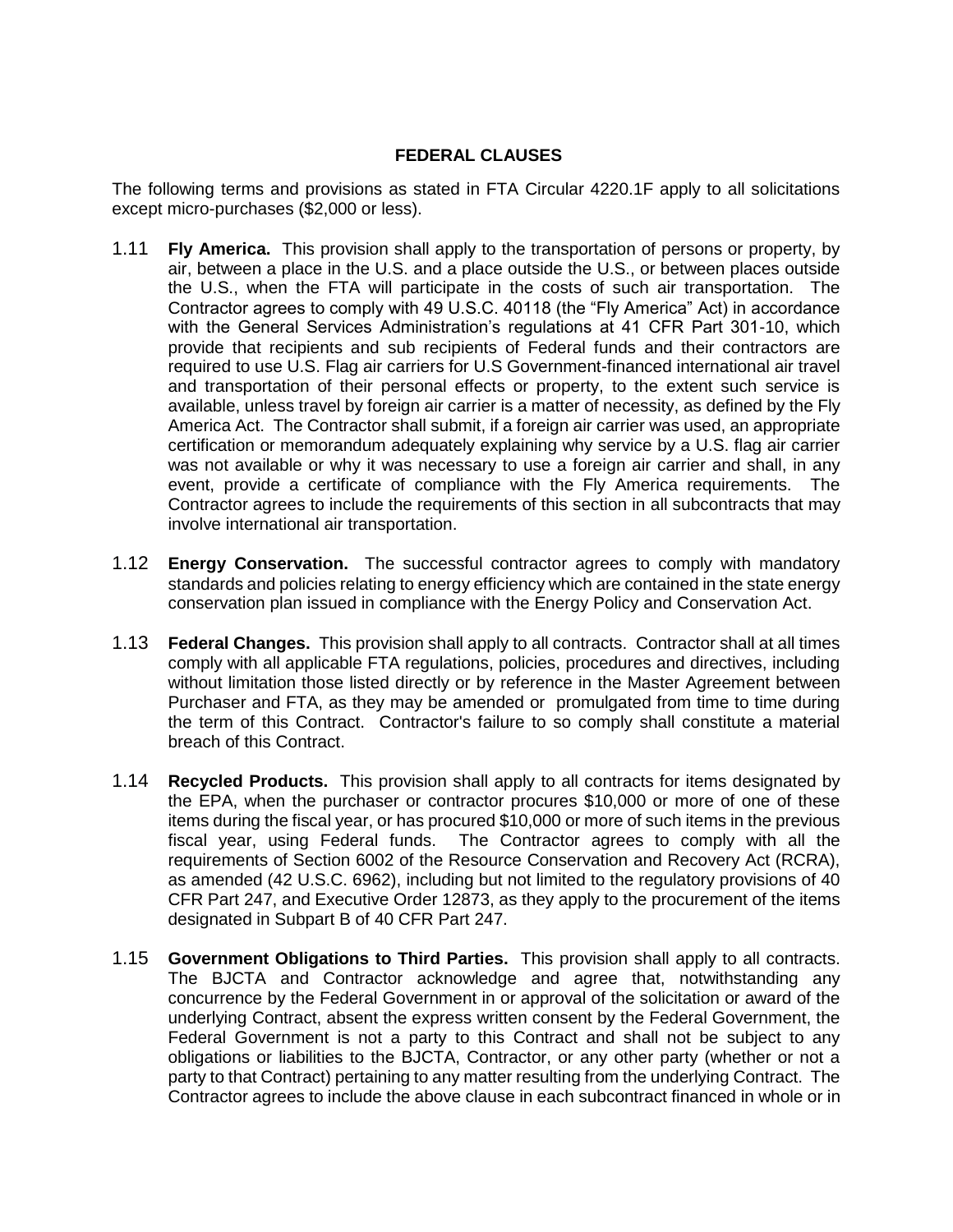## **FEDERAL CLAUSES**

The following terms and provisions as stated in FTA Circular 4220.1F apply to all solicitations except micro-purchases (\$2,000 or less).

- 1.11 **Fly America.** This provision shall apply to the transportation of persons or property, by air, between a place in the U.S. and a place outside the U.S., or between places outside the U.S., when the FTA will participate in the costs of such air transportation. The Contractor agrees to comply with 49 U.S.C. 40118 (the "Fly America" Act) in accordance with the General Services Administration's regulations at 41 CFR Part 301-10, which provide that recipients and sub recipients of Federal funds and their contractors are required to use U.S. Flag air carriers for U.S Government-financed international air travel and transportation of their personal effects or property, to the extent such service is available, unless travel by foreign air carrier is a matter of necessity, as defined by the Fly America Act. The Contractor shall submit, if a foreign air carrier was used, an appropriate certification or memorandum adequately explaining why service by a U.S. flag air carrier was not available or why it was necessary to use a foreign air carrier and shall, in any event, provide a certificate of compliance with the Fly America requirements. The Contractor agrees to include the requirements of this section in all subcontracts that may involve international air transportation.
- 1.12 **Energy Conservation.** The successful contractor agrees to comply with mandatory standards and policies relating to energy efficiency which are contained in the state energy conservation plan issued in compliance with the Energy Policy and Conservation Act.
- 1.13 **Federal Changes.** This provision shall apply to all contracts. Contractor shall at all times comply with all applicable FTA regulations, policies, procedures and directives, including without limitation those listed directly or by reference in the Master Agreement between Purchaser and FTA, as they may be amended or promulgated from time to time during the term of this Contract. Contractor's failure to so comply shall constitute a material breach of this Contract.
- 1.14 **Recycled Products.** This provision shall apply to all contracts for items designated by the EPA, when the purchaser or contractor procures \$10,000 or more of one of these items during the fiscal year, or has procured \$10,000 or more of such items in the previous fiscal year, using Federal funds. The Contractor agrees to comply with all the requirements of Section 6002 of the Resource Conservation and Recovery Act (RCRA), as amended (42 U.S.C. 6962), including but not limited to the regulatory provisions of 40 CFR Part 247, and Executive Order 12873, as they apply to the procurement of the items designated in Subpart B of 40 CFR Part 247.
- 1.15 **Government Obligations to Third Parties.** This provision shall apply to all contracts. The BJCTA and Contractor acknowledge and agree that, notwithstanding any concurrence by the Federal Government in or approval of the solicitation or award of the underlying Contract, absent the express written consent by the Federal Government, the Federal Government is not a party to this Contract and shall not be subject to any obligations or liabilities to the BJCTA, Contractor, or any other party (whether or not a party to that Contract) pertaining to any matter resulting from the underlying Contract. The Contractor agrees to include the above clause in each subcontract financed in whole or in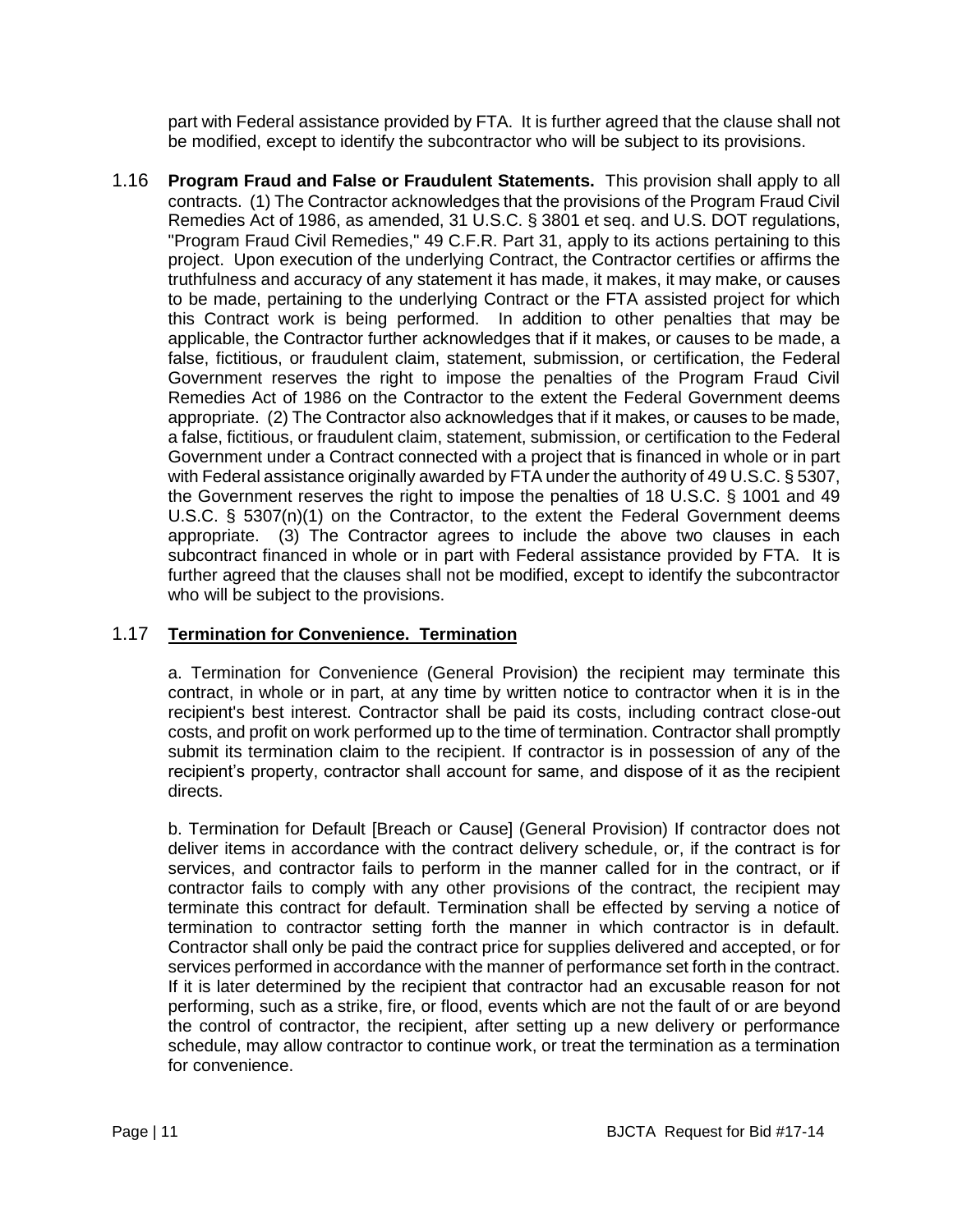part with Federal assistance provided by FTA. It is further agreed that the clause shall not be modified, except to identify the subcontractor who will be subject to its provisions.

1.16 **Program Fraud and False or Fraudulent Statements.** This provision shall apply to all contracts. (1) The Contractor acknowledges that the provisions of the Program Fraud Civil Remedies Act of 1986, as amended, 31 U.S.C. § 3801 et seq. and U.S. DOT regulations, "Program Fraud Civil Remedies," 49 C.F.R. Part 31, apply to its actions pertaining to this project. Upon execution of the underlying Contract, the Contractor certifies or affirms the truthfulness and accuracy of any statement it has made, it makes, it may make, or causes to be made, pertaining to the underlying Contract or the FTA assisted project for which this Contract work is being performed. In addition to other penalties that may be applicable, the Contractor further acknowledges that if it makes, or causes to be made, a false, fictitious, or fraudulent claim, statement, submission, or certification, the Federal Government reserves the right to impose the penalties of the Program Fraud Civil Remedies Act of 1986 on the Contractor to the extent the Federal Government deems appropriate. (2) The Contractor also acknowledges that if it makes, or causes to be made, a false, fictitious, or fraudulent claim, statement, submission, or certification to the Federal Government under a Contract connected with a project that is financed in whole or in part with Federal assistance originally awarded by FTA under the authority of 49 U.S.C. § 5307, the Government reserves the right to impose the penalties of 18 U.S.C. § 1001 and 49 U.S.C. § 5307(n)(1) on the Contractor, to the extent the Federal Government deems appropriate. (3) The Contractor agrees to include the above two clauses in each subcontract financed in whole or in part with Federal assistance provided by FTA. It is further agreed that the clauses shall not be modified, except to identify the subcontractor who will be subject to the provisions.

# 1.17 **Termination for Convenience. Termination**

a. Termination for Convenience (General Provision) the recipient may terminate this contract, in whole or in part, at any time by written notice to contractor when it is in the recipient's best interest. Contractor shall be paid its costs, including contract close-out costs, and profit on work performed up to the time of termination. Contractor shall promptly submit its termination claim to the recipient. If contractor is in possession of any of the recipient's property, contractor shall account for same, and dispose of it as the recipient directs.

b. Termination for Default [Breach or Cause] (General Provision) If contractor does not deliver items in accordance with the contract delivery schedule, or, if the contract is for services, and contractor fails to perform in the manner called for in the contract, or if contractor fails to comply with any other provisions of the contract, the recipient may terminate this contract for default. Termination shall be effected by serving a notice of termination to contractor setting forth the manner in which contractor is in default. Contractor shall only be paid the contract price for supplies delivered and accepted, or for services performed in accordance with the manner of performance set forth in the contract. If it is later determined by the recipient that contractor had an excusable reason for not performing, such as a strike, fire, or flood, events which are not the fault of or are beyond the control of contractor, the recipient, after setting up a new delivery or performance schedule, may allow contractor to continue work, or treat the termination as a termination for convenience.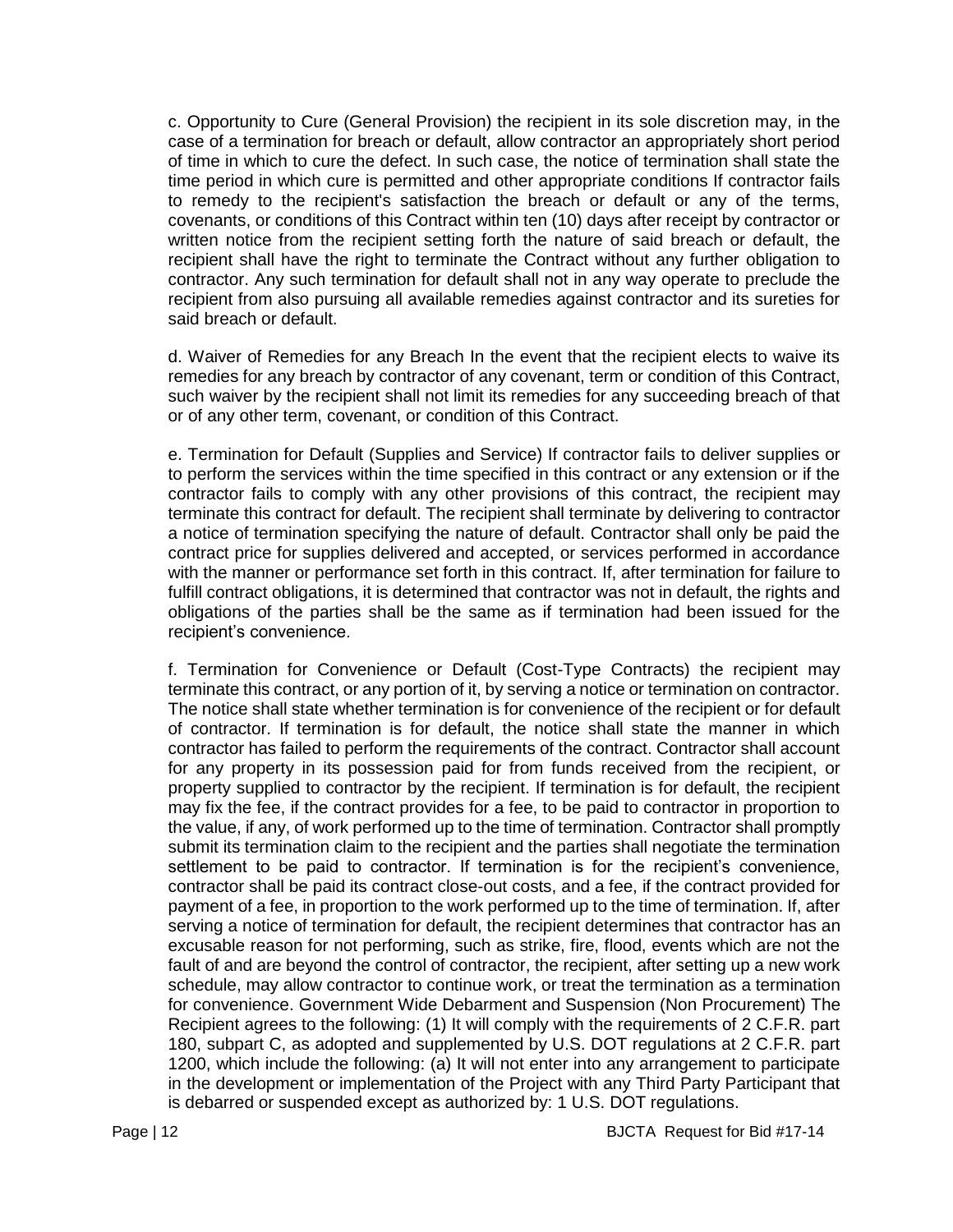c. Opportunity to Cure (General Provision) the recipient in its sole discretion may, in the case of a termination for breach or default, allow contractor an appropriately short period of time in which to cure the defect. In such case, the notice of termination shall state the time period in which cure is permitted and other appropriate conditions If contractor fails to remedy to the recipient's satisfaction the breach or default or any of the terms, covenants, or conditions of this Contract within ten (10) days after receipt by contractor or written notice from the recipient setting forth the nature of said breach or default, the recipient shall have the right to terminate the Contract without any further obligation to contractor. Any such termination for default shall not in any way operate to preclude the recipient from also pursuing all available remedies against contractor and its sureties for said breach or default.

d. Waiver of Remedies for any Breach In the event that the recipient elects to waive its remedies for any breach by contractor of any covenant, term or condition of this Contract, such waiver by the recipient shall not limit its remedies for any succeeding breach of that or of any other term, covenant, or condition of this Contract.

e. Termination for Default (Supplies and Service) If contractor fails to deliver supplies or to perform the services within the time specified in this contract or any extension or if the contractor fails to comply with any other provisions of this contract, the recipient may terminate this contract for default. The recipient shall terminate by delivering to contractor a notice of termination specifying the nature of default. Contractor shall only be paid the contract price for supplies delivered and accepted, or services performed in accordance with the manner or performance set forth in this contract. If, after termination for failure to fulfill contract obligations, it is determined that contractor was not in default, the rights and obligations of the parties shall be the same as if termination had been issued for the recipient's convenience.

f. Termination for Convenience or Default (Cost-Type Contracts) the recipient may terminate this contract, or any portion of it, by serving a notice or termination on contractor. The notice shall state whether termination is for convenience of the recipient or for default of contractor. If termination is for default, the notice shall state the manner in which contractor has failed to perform the requirements of the contract. Contractor shall account for any property in its possession paid for from funds received from the recipient, or property supplied to contractor by the recipient. If termination is for default, the recipient may fix the fee, if the contract provides for a fee, to be paid to contractor in proportion to the value, if any, of work performed up to the time of termination. Contractor shall promptly submit its termination claim to the recipient and the parties shall negotiate the termination settlement to be paid to contractor. If termination is for the recipient's convenience, contractor shall be paid its contract close-out costs, and a fee, if the contract provided for payment of a fee, in proportion to the work performed up to the time of termination. If, after serving a notice of termination for default, the recipient determines that contractor has an excusable reason for not performing, such as strike, fire, flood, events which are not the fault of and are beyond the control of contractor, the recipient, after setting up a new work schedule, may allow contractor to continue work, or treat the termination as a termination for convenience. Government Wide Debarment and Suspension (Non Procurement) The Recipient agrees to the following: (1) It will comply with the requirements of 2 C.F.R. part 180, subpart C, as adopted and supplemented by U.S. DOT regulations at 2 C.F.R. part 1200, which include the following: (a) It will not enter into any arrangement to participate in the development or implementation of the Project with any Third Party Participant that is debarred or suspended except as authorized by: 1 U.S. DOT regulations.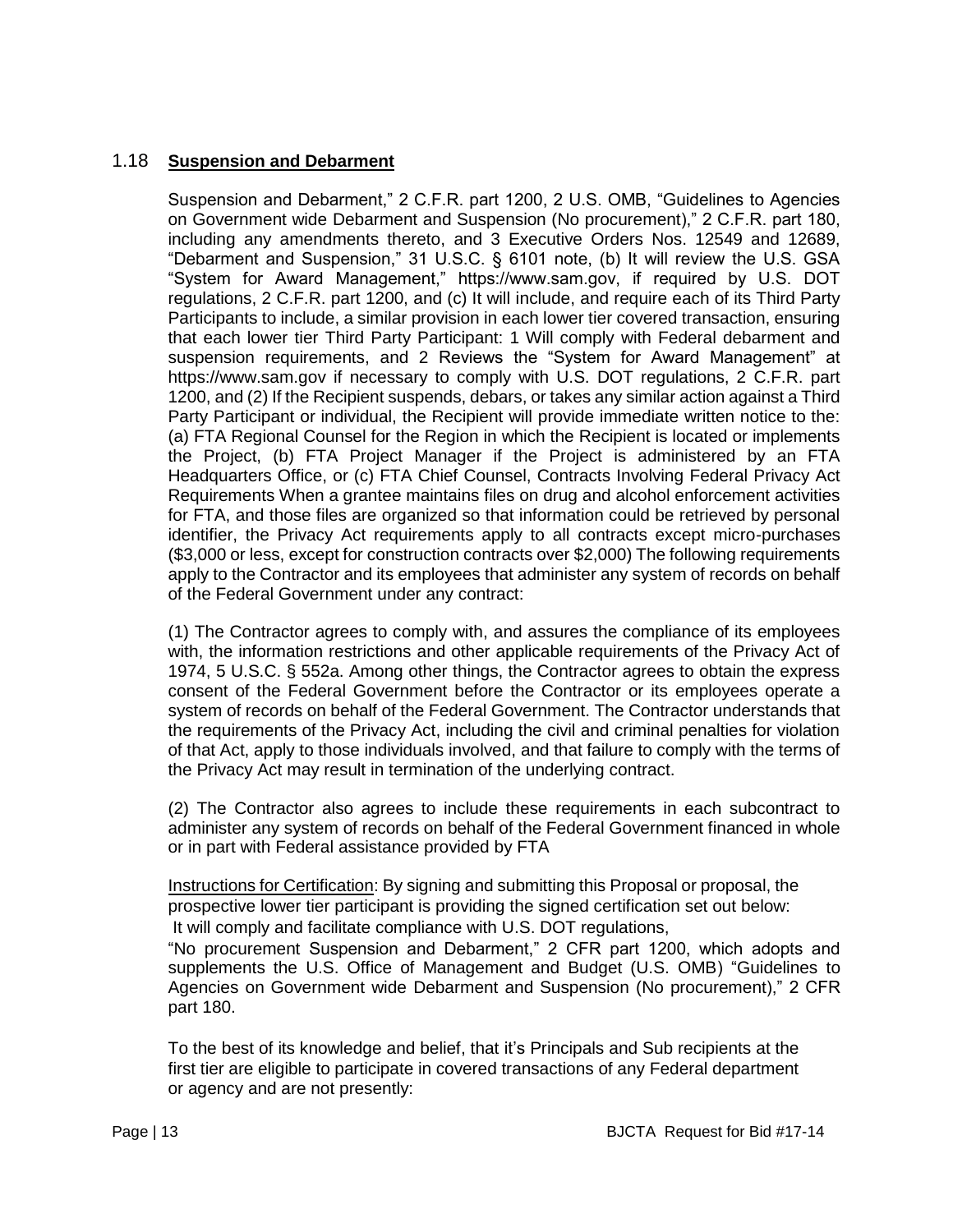## 1.18 **Suspension and Debarment**

Suspension and Debarment," 2 C.F.R. part 1200, 2 U.S. OMB, "Guidelines to Agencies on Government wide Debarment and Suspension (No procurement)," 2 C.F.R. part 180, including any amendments thereto, and 3 Executive Orders Nos. 12549 and 12689, "Debarment and Suspension," 31 U.S.C. § 6101 note, (b) It will review the U.S. GSA "System for Award Management," https://www.sam.gov, if required by U.S. DOT regulations, 2 C.F.R. part 1200, and (c) It will include, and require each of its Third Party Participants to include, a similar provision in each lower tier covered transaction, ensuring that each lower tier Third Party Participant: 1 Will comply with Federal debarment and suspension requirements, and 2 Reviews the "System for Award Management" at https://www.sam.gov if necessary to comply with U.S. DOT regulations, 2 C.F.R. part 1200, and (2) If the Recipient suspends, debars, or takes any similar action against a Third Party Participant or individual, the Recipient will provide immediate written notice to the: (a) FTA Regional Counsel for the Region in which the Recipient is located or implements the Project, (b) FTA Project Manager if the Project is administered by an FTA Headquarters Office, or (c) FTA Chief Counsel, Contracts Involving Federal Privacy Act Requirements When a grantee maintains files on drug and alcohol enforcement activities for FTA, and those files are organized so that information could be retrieved by personal identifier, the Privacy Act requirements apply to all contracts except micro-purchases (\$3,000 or less, except for construction contracts over \$2,000) The following requirements apply to the Contractor and its employees that administer any system of records on behalf of the Federal Government under any contract:

(1) The Contractor agrees to comply with, and assures the compliance of its employees with, the information restrictions and other applicable requirements of the Privacy Act of 1974, 5 U.S.C. § 552a. Among other things, the Contractor agrees to obtain the express consent of the Federal Government before the Contractor or its employees operate a system of records on behalf of the Federal Government. The Contractor understands that the requirements of the Privacy Act, including the civil and criminal penalties for violation of that Act, apply to those individuals involved, and that failure to comply with the terms of the Privacy Act may result in termination of the underlying contract.

(2) The Contractor also agrees to include these requirements in each subcontract to administer any system of records on behalf of the Federal Government financed in whole or in part with Federal assistance provided by FTA

Instructions for Certification: By signing and submitting this Proposal or proposal, the prospective lower tier participant is providing the signed certification set out below: It will comply and facilitate compliance with U.S. DOT regulations,

"No procurement Suspension and Debarment," 2 CFR part 1200, which adopts and supplements the U.S. Office of Management and Budget (U.S. OMB) "Guidelines to Agencies on Government wide Debarment and Suspension (No procurement)," 2 CFR part 180.

To the best of its knowledge and belief, that it's Principals and Sub recipients at the first tier are eligible to participate in covered transactions of any Federal department or agency and are not presently: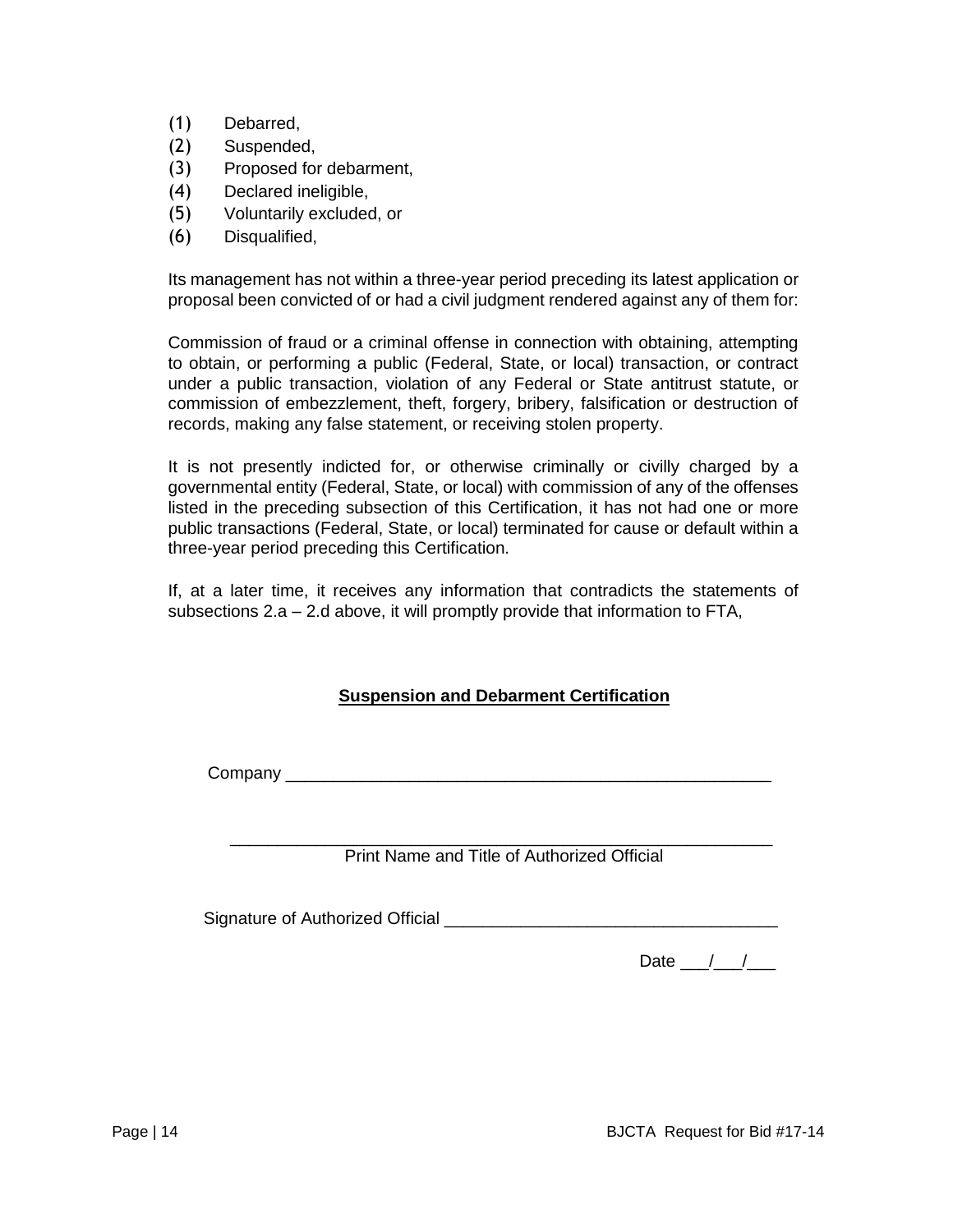- (1) Debarred,
- (2) Suspended,
- (3) Proposed for debarment,
- (4) Declared ineligible,
- (5) Voluntarily excluded, or
- (6) Disqualified,

Its management has not within a three-year period preceding its latest application or proposal been convicted of or had a civil judgment rendered against any of them for:

Commission of fraud or a criminal offense in connection with obtaining, attempting to obtain, or performing a public (Federal, State, or local) transaction, or contract under a public transaction, violation of any Federal or State antitrust statute, or commission of embezzlement, theft, forgery, bribery, falsification or destruction of records, making any false statement, or receiving stolen property.

It is not presently indicted for, or otherwise criminally or civilly charged by a governmental entity (Federal, State, or local) with commission of any of the offenses listed in the preceding subsection of this Certification, it has not had one or more public transactions (Federal, State, or local) terminated for cause or default within a three-year period preceding this Certification.

If, at a later time, it receives any information that contradicts the statements of subsections 2.a – 2.d above, it will promptly provide that information to FTA,

# **Suspension and Debarment Certification**

Company \_\_\_\_\_\_\_\_\_\_\_\_\_\_\_\_\_\_\_\_\_\_\_\_\_\_\_\_\_\_\_\_\_\_\_\_\_\_\_\_\_\_\_\_\_\_\_\_\_\_\_

 \_\_\_\_\_\_\_\_\_\_\_\_\_\_\_\_\_\_\_\_\_\_\_\_\_\_\_\_\_\_\_\_\_\_\_\_\_\_\_\_\_\_\_\_\_\_\_\_\_\_\_\_\_\_\_\_\_ Print Name and Title of Authorized Official

Signature of Authorized Official **Example 2018** 

Date  $/$  /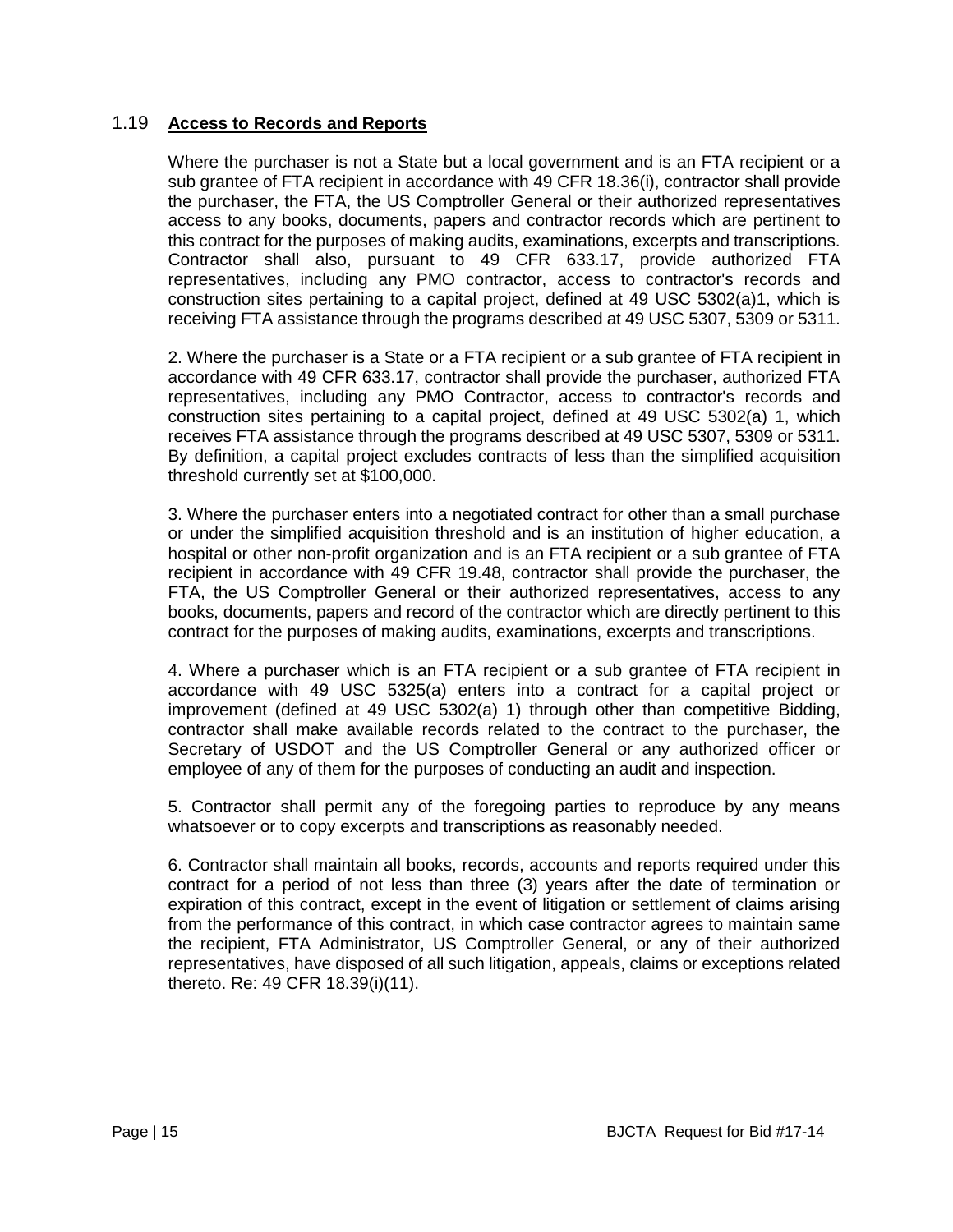## 1.19 **Access to Records and Reports**

Where the purchaser is not a State but a local government and is an FTA recipient or a sub grantee of FTA recipient in accordance with 49 CFR 18.36(i), contractor shall provide the purchaser, the FTA, the US Comptroller General or their authorized representatives access to any books, documents, papers and contractor records which are pertinent to this contract for the purposes of making audits, examinations, excerpts and transcriptions. Contractor shall also, pursuant to 49 CFR 633.17, provide authorized FTA representatives, including any PMO contractor, access to contractor's records and construction sites pertaining to a capital project, defined at 49 USC 5302(a)1, which is receiving FTA assistance through the programs described at 49 USC 5307, 5309 or 5311.

2. Where the purchaser is a State or a FTA recipient or a sub grantee of FTA recipient in accordance with 49 CFR 633.17, contractor shall provide the purchaser, authorized FTA representatives, including any PMO Contractor, access to contractor's records and construction sites pertaining to a capital project, defined at 49 USC 5302(a) 1, which receives FTA assistance through the programs described at 49 USC 5307, 5309 or 5311. By definition, a capital project excludes contracts of less than the simplified acquisition threshold currently set at \$100,000.

3. Where the purchaser enters into a negotiated contract for other than a small purchase or under the simplified acquisition threshold and is an institution of higher education, a hospital or other non-profit organization and is an FTA recipient or a sub grantee of FTA recipient in accordance with 49 CFR 19.48, contractor shall provide the purchaser, the FTA, the US Comptroller General or their authorized representatives, access to any books, documents, papers and record of the contractor which are directly pertinent to this contract for the purposes of making audits, examinations, excerpts and transcriptions.

4. Where a purchaser which is an FTA recipient or a sub grantee of FTA recipient in accordance with 49 USC 5325(a) enters into a contract for a capital project or improvement (defined at 49 USC 5302(a) 1) through other than competitive Bidding, contractor shall make available records related to the contract to the purchaser, the Secretary of USDOT and the US Comptroller General or any authorized officer or employee of any of them for the purposes of conducting an audit and inspection.

5. Contractor shall permit any of the foregoing parties to reproduce by any means whatsoever or to copy excerpts and transcriptions as reasonably needed.

6. Contractor shall maintain all books, records, accounts and reports required under this contract for a period of not less than three (3) years after the date of termination or expiration of this contract, except in the event of litigation or settlement of claims arising from the performance of this contract, in which case contractor agrees to maintain same the recipient, FTA Administrator, US Comptroller General, or any of their authorized representatives, have disposed of all such litigation, appeals, claims or exceptions related thereto. Re: 49 CFR 18.39(i)(11).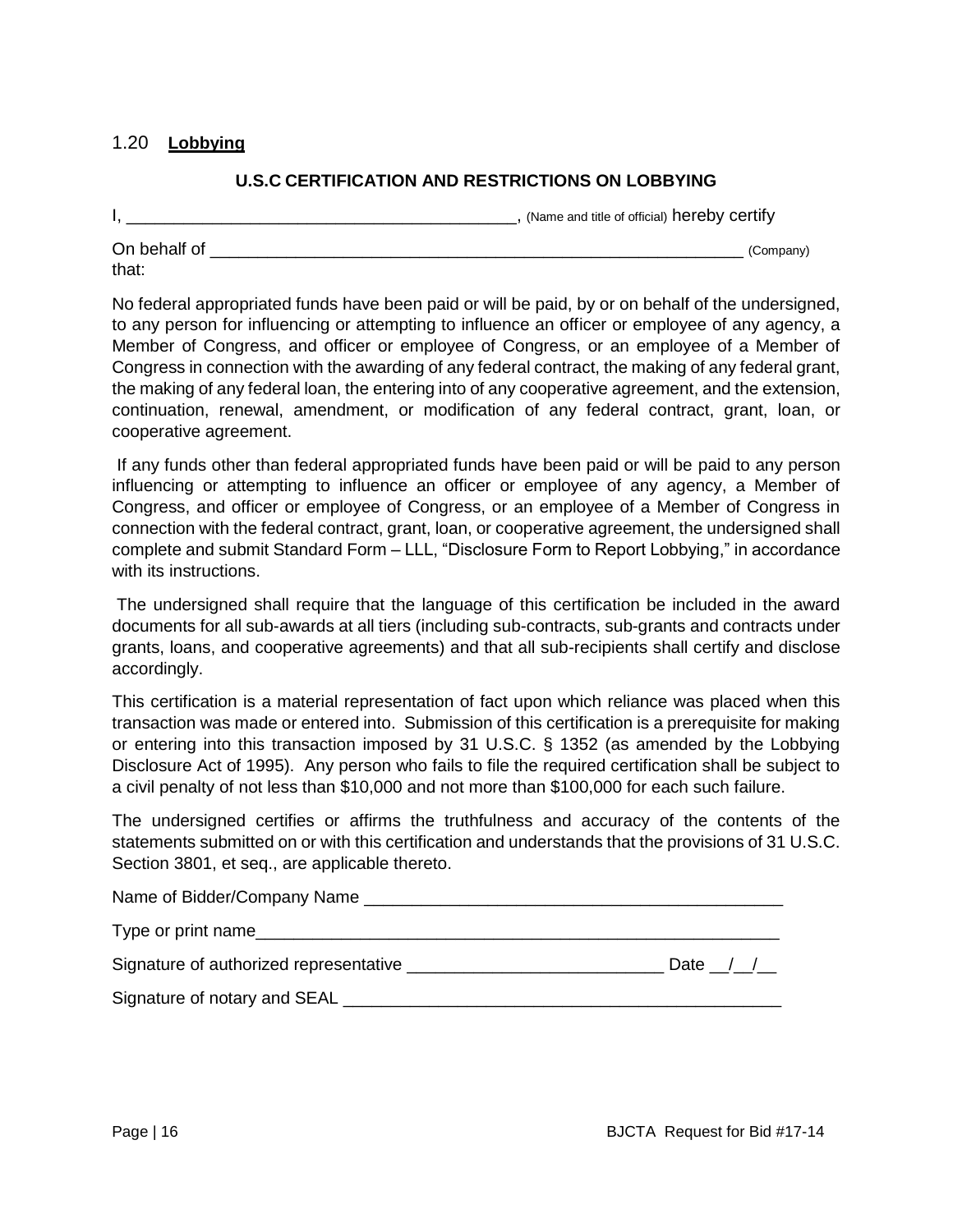## 1.20 **Lobbying**

## **U.S.C CERTIFICATION AND RESTRICTIONS ON LOBBYING**

I, \_\_\_\_\_\_\_\_\_\_\_\_\_\_\_\_\_\_\_\_\_\_\_\_\_\_\_\_\_\_\_\_\_\_\_\_\_\_\_\_\_, (Name and title of official) hereby certify On behalf of the company of the company of the company of the company of the company of the company of the company of the company of the company of the company of the company of the company of the company of the company of

that:

No federal appropriated funds have been paid or will be paid, by or on behalf of the undersigned, to any person for influencing or attempting to influence an officer or employee of any agency, a Member of Congress, and officer or employee of Congress, or an employee of a Member of Congress in connection with the awarding of any federal contract, the making of any federal grant, the making of any federal loan, the entering into of any cooperative agreement, and the extension, continuation, renewal, amendment, or modification of any federal contract, grant, loan, or cooperative agreement.

If any funds other than federal appropriated funds have been paid or will be paid to any person influencing or attempting to influence an officer or employee of any agency, a Member of Congress, and officer or employee of Congress, or an employee of a Member of Congress in connection with the federal contract, grant, loan, or cooperative agreement, the undersigned shall complete and submit Standard Form – LLL, "Disclosure Form to Report Lobbying," in accordance with its instructions.

The undersigned shall require that the language of this certification be included in the award documents for all sub-awards at all tiers (including sub-contracts, sub-grants and contracts under grants, loans, and cooperative agreements) and that all sub-recipients shall certify and disclose accordingly.

This certification is a material representation of fact upon which reliance was placed when this transaction was made or entered into. Submission of this certification is a prerequisite for making or entering into this transaction imposed by 31 U.S.C. § 1352 (as amended by the Lobbying Disclosure Act of 1995). Any person who fails to file the required certification shall be subject to a civil penalty of not less than \$10,000 and not more than \$100,000 for each such failure.

The undersigned certifies or affirms the truthfulness and accuracy of the contents of the statements submitted on or with this certification and understands that the provisions of 31 U.S.C. Section 3801, et seq., are applicable thereto.

| Name of Bidder/Company Name            |          |
|----------------------------------------|----------|
| Type or print name                     |          |
| Signature of authorized representative | Date / / |
| Signature of notary and SEAL           |          |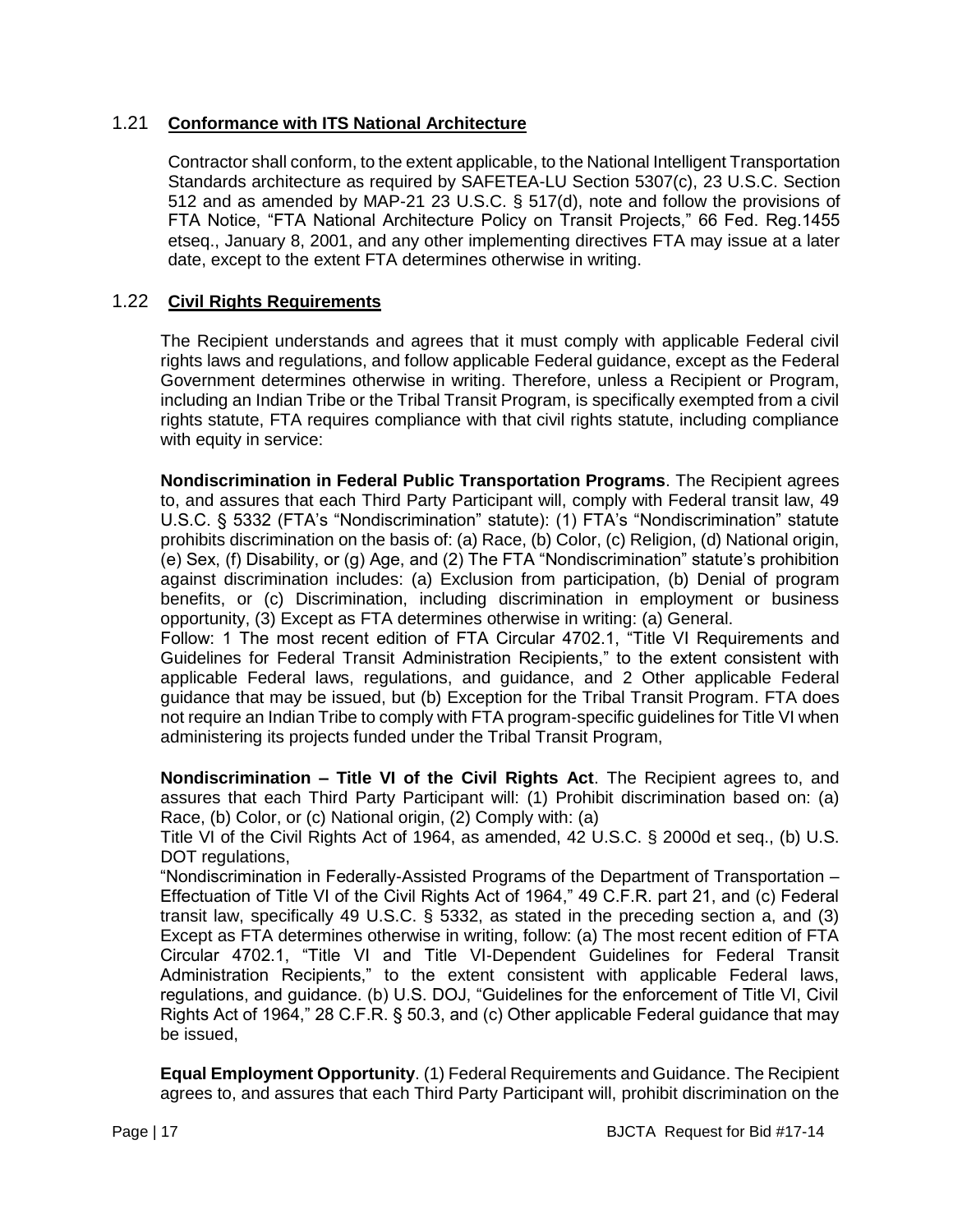## 1.21 **Conformance with ITS National Architecture**

Contractor shall conform, to the extent applicable, to the National Intelligent Transportation Standards architecture as required by SAFETEA-LU Section 5307(c), 23 U.S.C. Section 512 and as amended by MAP-21 23 U.S.C. § 517(d), note and follow the provisions of FTA Notice, "FTA National Architecture Policy on Transit Projects," 66 Fed. Reg.1455 etseq., January 8, 2001, and any other implementing directives FTA may issue at a later date, except to the extent FTA determines otherwise in writing.

## 1.22 **Civil Rights Requirements**

The Recipient understands and agrees that it must comply with applicable Federal civil rights laws and regulations, and follow applicable Federal guidance, except as the Federal Government determines otherwise in writing. Therefore, unless a Recipient or Program, including an Indian Tribe or the Tribal Transit Program, is specifically exempted from a civil rights statute, FTA requires compliance with that civil rights statute, including compliance with equity in service:

**Nondiscrimination in Federal Public Transportation Programs**. The Recipient agrees to, and assures that each Third Party Participant will, comply with Federal transit law, 49 U.S.C. § 5332 (FTA's "Nondiscrimination" statute): (1) FTA's "Nondiscrimination" statute prohibits discrimination on the basis of: (a) Race, (b) Color, (c) Religion, (d) National origin, (e) Sex, (f) Disability, or (g) Age, and (2) The FTA "Nondiscrimination" statute's prohibition against discrimination includes: (a) Exclusion from participation, (b) Denial of program benefits, or (c) Discrimination, including discrimination in employment or business opportunity, (3) Except as FTA determines otherwise in writing: (a) General.

Follow: 1 The most recent edition of FTA Circular 4702.1, "Title VI Requirements and Guidelines for Federal Transit Administration Recipients," to the extent consistent with applicable Federal laws, regulations, and guidance, and 2 Other applicable Federal guidance that may be issued, but (b) Exception for the Tribal Transit Program. FTA does not require an Indian Tribe to comply with FTA program-specific guidelines for Title VI when administering its projects funded under the Tribal Transit Program,

**Nondiscrimination – Title VI of the Civil Rights Act**. The Recipient agrees to, and assures that each Third Party Participant will: (1) Prohibit discrimination based on: (a) Race, (b) Color, or (c) National origin, (2) Comply with: (a)

Title VI of the Civil Rights Act of 1964, as amended, 42 U.S.C. § 2000d et seq., (b) U.S. DOT regulations.

"Nondiscrimination in Federally-Assisted Programs of the Department of Transportation – Effectuation of Title VI of the Civil Rights Act of 1964," 49 C.F.R. part 21, and (c) Federal transit law, specifically 49 U.S.C. § 5332, as stated in the preceding section a, and (3) Except as FTA determines otherwise in writing, follow: (a) The most recent edition of FTA Circular 4702.1, "Title VI and Title VI-Dependent Guidelines for Federal Transit Administration Recipients," to the extent consistent with applicable Federal laws, regulations, and guidance. (b) U.S. DOJ, "Guidelines for the enforcement of Title VI, Civil Rights Act of 1964," 28 C.F.R. § 50.3, and (c) Other applicable Federal guidance that may be issued,

**Equal Employment Opportunity**. (1) Federal Requirements and Guidance. The Recipient agrees to, and assures that each Third Party Participant will, prohibit discrimination on the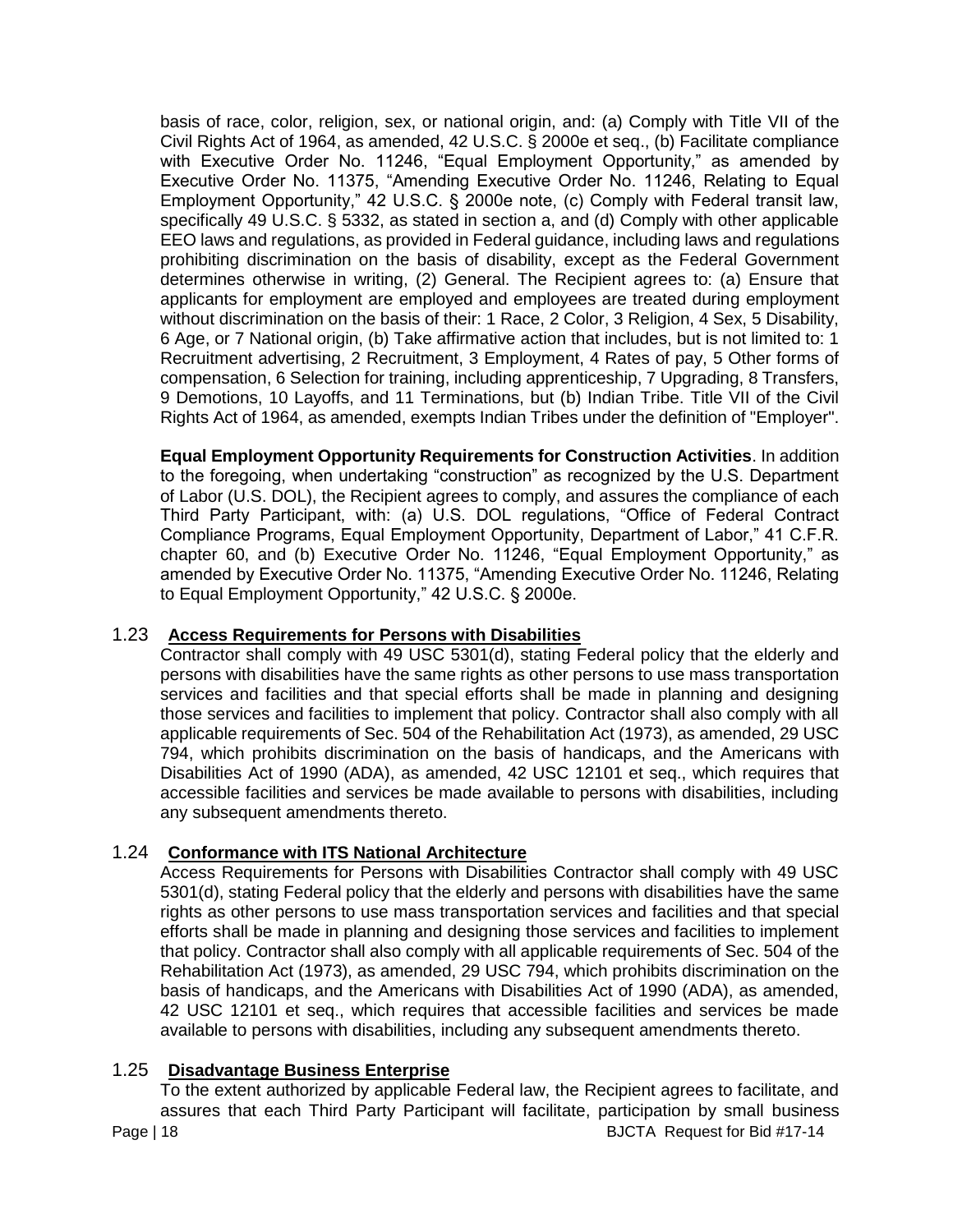basis of race, color, religion, sex, or national origin, and: (a) Comply with Title VII of the Civil Rights Act of 1964, as amended, 42 U.S.C. § 2000e et seq., (b) Facilitate compliance with Executive Order No. 11246, "Equal Employment Opportunity," as amended by Executive Order No. 11375, "Amending Executive Order No. 11246, Relating to Equal Employment Opportunity," 42 U.S.C. § 2000e note, (c) Comply with Federal transit law, specifically 49 U.S.C. § 5332, as stated in section a, and (d) Comply with other applicable EEO laws and regulations, as provided in Federal guidance, including laws and regulations prohibiting discrimination on the basis of disability, except as the Federal Government determines otherwise in writing, (2) General. The Recipient agrees to: (a) Ensure that applicants for employment are employed and employees are treated during employment without discrimination on the basis of their: 1 Race, 2 Color, 3 Religion, 4 Sex, 5 Disability, 6 Age, or 7 National origin, (b) Take affirmative action that includes, but is not limited to: 1 Recruitment advertising, 2 Recruitment, 3 Employment, 4 Rates of pay, 5 Other forms of compensation, 6 Selection for training, including apprenticeship, 7 Upgrading, 8 Transfers, 9 Demotions, 10 Layoffs, and 11 Terminations, but (b) Indian Tribe. Title VII of the Civil Rights Act of 1964, as amended, exempts Indian Tribes under the definition of "Employer".

**Equal Employment Opportunity Requirements for Construction Activities**. In addition to the foregoing, when undertaking "construction" as recognized by the U.S. Department of Labor (U.S. DOL), the Recipient agrees to comply, and assures the compliance of each Third Party Participant, with: (a) U.S. DOL regulations, "Office of Federal Contract Compliance Programs, Equal Employment Opportunity, Department of Labor," 41 C.F.R. chapter 60, and (b) Executive Order No. 11246, "Equal Employment Opportunity," as amended by Executive Order No. 11375, "Amending Executive Order No. 11246, Relating to Equal Employment Opportunity," 42 U.S.C. § 2000e.

# 1.23 **Access Requirements for Persons with Disabilities**

Contractor shall comply with 49 USC 5301(d), stating Federal policy that the elderly and persons with disabilities have the same rights as other persons to use mass transportation services and facilities and that special efforts shall be made in planning and designing those services and facilities to implement that policy. Contractor shall also comply with all applicable requirements of Sec. 504 of the Rehabilitation Act (1973), as amended, 29 USC 794, which prohibits discrimination on the basis of handicaps, and the Americans with Disabilities Act of 1990 (ADA), as amended, 42 USC 12101 et seq., which requires that accessible facilities and services be made available to persons with disabilities, including any subsequent amendments thereto.

# 1.24 **Conformance with ITS National Architecture**

Access Requirements for Persons with Disabilities Contractor shall comply with 49 USC 5301(d), stating Federal policy that the elderly and persons with disabilities have the same rights as other persons to use mass transportation services and facilities and that special efforts shall be made in planning and designing those services and facilities to implement that policy. Contractor shall also comply with all applicable requirements of Sec. 504 of the Rehabilitation Act (1973), as amended, 29 USC 794, which prohibits discrimination on the basis of handicaps, and the Americans with Disabilities Act of 1990 (ADA), as amended, 42 USC 12101 et seq., which requires that accessible facilities and services be made available to persons with disabilities, including any subsequent amendments thereto.

## 1.25 **Disadvantage Business Enterprise**

Page | 18 BJCTA Request for Bid #17-14 To the extent authorized by applicable Federal law, the Recipient agrees to facilitate, and assures that each Third Party Participant will facilitate, participation by small business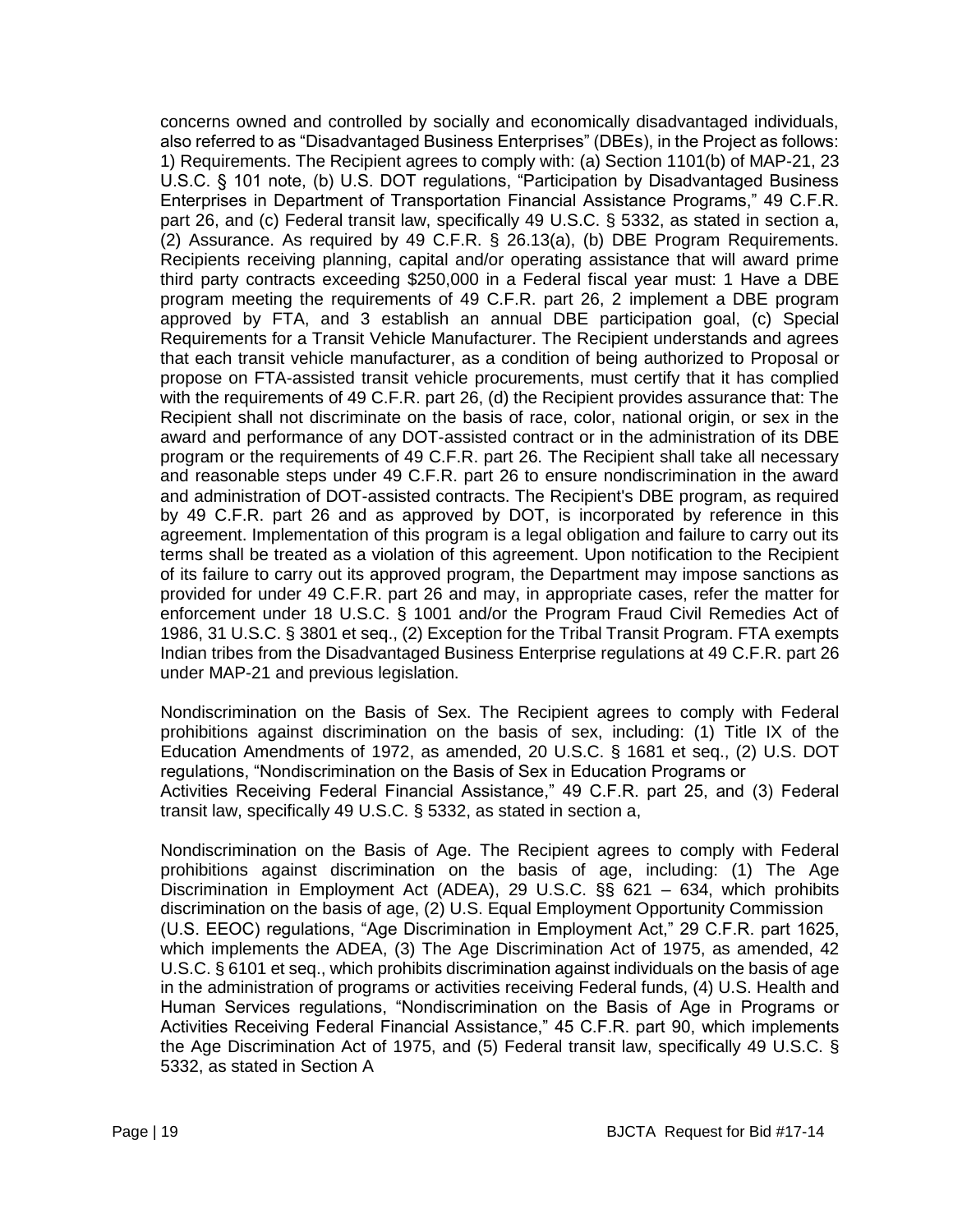concerns owned and controlled by socially and economically disadvantaged individuals, also referred to as "Disadvantaged Business Enterprises" (DBEs), in the Project as follows: 1) Requirements. The Recipient agrees to comply with: (a) Section 1101(b) of MAP-21, 23 U.S.C. § 101 note, (b) U.S. DOT regulations, "Participation by Disadvantaged Business Enterprises in Department of Transportation Financial Assistance Programs," 49 C.F.R. part 26, and (c) Federal transit law, specifically 49 U.S.C. § 5332, as stated in section a, (2) Assurance. As required by 49 C.F.R. § 26.13(a), (b) DBE Program Requirements. Recipients receiving planning, capital and/or operating assistance that will award prime third party contracts exceeding \$250,000 in a Federal fiscal year must: 1 Have a DBE program meeting the requirements of 49 C.F.R. part 26, 2 implement a DBE program approved by FTA, and 3 establish an annual DBE participation goal, (c) Special Requirements for a Transit Vehicle Manufacturer. The Recipient understands and agrees that each transit vehicle manufacturer, as a condition of being authorized to Proposal or propose on FTA-assisted transit vehicle procurements, must certify that it has complied with the requirements of 49 C.F.R. part 26, (d) the Recipient provides assurance that: The Recipient shall not discriminate on the basis of race, color, national origin, or sex in the award and performance of any DOT-assisted contract or in the administration of its DBE program or the requirements of 49 C.F.R. part 26. The Recipient shall take all necessary and reasonable steps under 49 C.F.R. part 26 to ensure nondiscrimination in the award and administration of DOT-assisted contracts. The Recipient's DBE program, as required by 49 C.F.R. part 26 and as approved by DOT, is incorporated by reference in this agreement. Implementation of this program is a legal obligation and failure to carry out its terms shall be treated as a violation of this agreement. Upon notification to the Recipient of its failure to carry out its approved program, the Department may impose sanctions as provided for under 49 C.F.R. part 26 and may, in appropriate cases, refer the matter for enforcement under 18 U.S.C. § 1001 and/or the Program Fraud Civil Remedies Act of 1986, 31 U.S.C. § 3801 et seq., (2) Exception for the Tribal Transit Program. FTA exempts Indian tribes from the Disadvantaged Business Enterprise regulations at 49 C.F.R. part 26 under MAP-21 and previous legislation.

Nondiscrimination on the Basis of Sex. The Recipient agrees to comply with Federal prohibitions against discrimination on the basis of sex, including: (1) Title IX of the Education Amendments of 1972, as amended, 20 U.S.C. § 1681 et seq., (2) U.S. DOT regulations, "Nondiscrimination on the Basis of Sex in Education Programs or Activities Receiving Federal Financial Assistance," 49 C.F.R. part 25, and (3) Federal transit law, specifically 49 U.S.C. § 5332, as stated in section a,

Nondiscrimination on the Basis of Age. The Recipient agrees to comply with Federal prohibitions against discrimination on the basis of age, including: (1) The Age Discrimination in Employment Act (ADEA), 29 U.S.C. §§ 621 – 634, which prohibits discrimination on the basis of age, (2) U.S. Equal Employment Opportunity Commission (U.S. EEOC) regulations, "Age Discrimination in Employment Act," 29 C.F.R. part 1625, which implements the ADEA, (3) The Age Discrimination Act of 1975, as amended, 42 U.S.C. § 6101 et seq., which prohibits discrimination against individuals on the basis of age in the administration of programs or activities receiving Federal funds, (4) U.S. Health and Human Services regulations, "Nondiscrimination on the Basis of Age in Programs or Activities Receiving Federal Financial Assistance," 45 C.F.R. part 90, which implements the Age Discrimination Act of 1975, and (5) Federal transit law, specifically 49 U.S.C. § 5332, as stated in Section A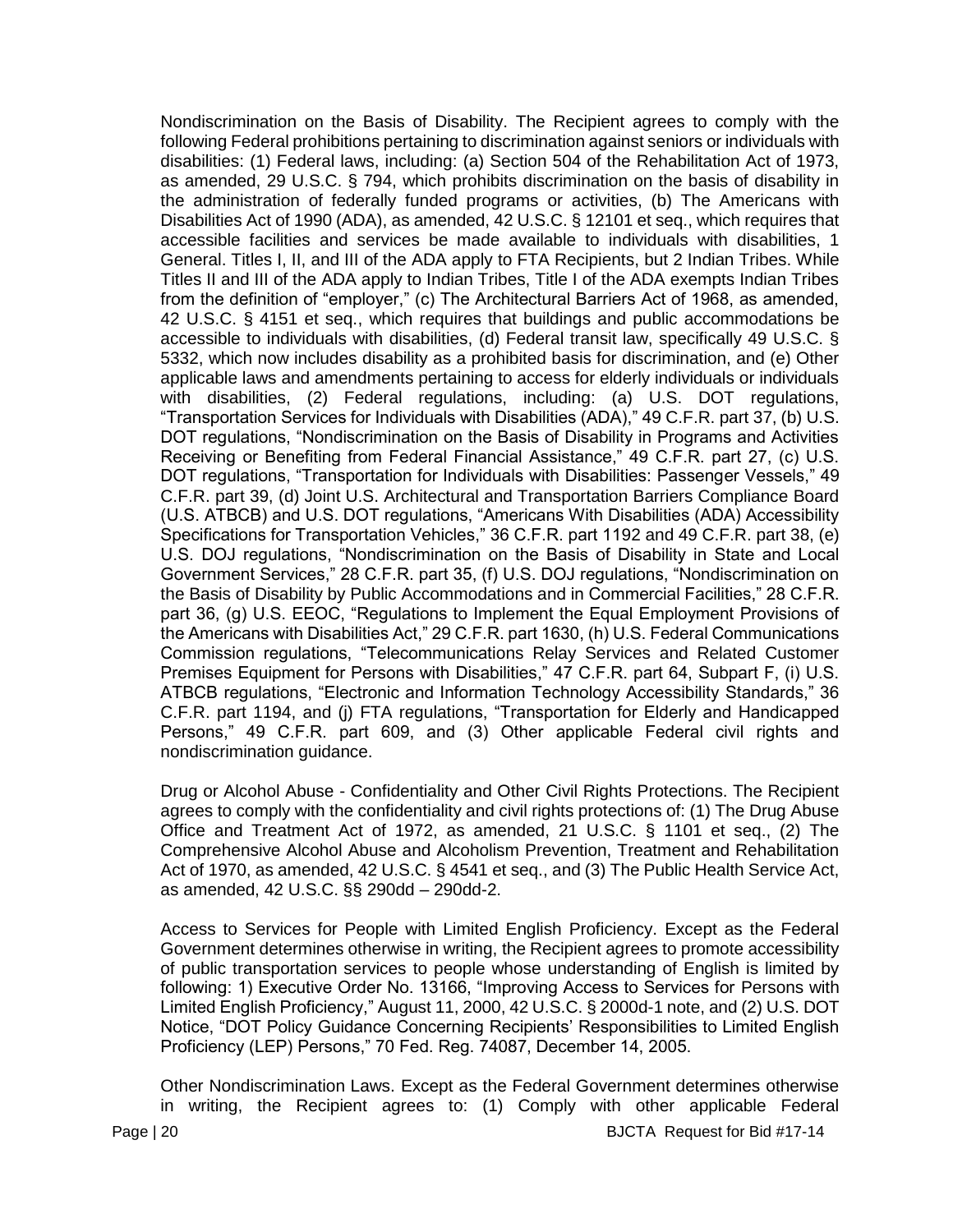Nondiscrimination on the Basis of Disability. The Recipient agrees to comply with the following Federal prohibitions pertaining to discrimination against seniors or individuals with disabilities: (1) Federal laws, including: (a) Section 504 of the Rehabilitation Act of 1973, as amended, 29 U.S.C. § 794, which prohibits discrimination on the basis of disability in the administration of federally funded programs or activities, (b) The Americans with Disabilities Act of 1990 (ADA), as amended, 42 U.S.C. § 12101 et seq., which requires that accessible facilities and services be made available to individuals with disabilities, 1 General. Titles I, II, and III of the ADA apply to FTA Recipients, but 2 Indian Tribes. While Titles II and III of the ADA apply to Indian Tribes, Title I of the ADA exempts Indian Tribes from the definition of "employer," (c) The Architectural Barriers Act of 1968, as amended, 42 U.S.C. § 4151 et seq., which requires that buildings and public accommodations be accessible to individuals with disabilities, (d) Federal transit law, specifically 49 U.S.C. § 5332, which now includes disability as a prohibited basis for discrimination, and (e) Other applicable laws and amendments pertaining to access for elderly individuals or individuals with disabilities, (2) Federal regulations, including: (a) U.S. DOT regulations, "Transportation Services for Individuals with Disabilities (ADA)," 49 C.F.R. part 37, (b) U.S. DOT regulations, "Nondiscrimination on the Basis of Disability in Programs and Activities Receiving or Benefiting from Federal Financial Assistance," 49 C.F.R. part 27, (c) U.S. DOT regulations, "Transportation for Individuals with Disabilities: Passenger Vessels," 49 C.F.R. part 39, (d) Joint U.S. Architectural and Transportation Barriers Compliance Board (U.S. ATBCB) and U.S. DOT regulations, "Americans With Disabilities (ADA) Accessibility Specifications for Transportation Vehicles," 36 C.F.R. part 1192 and 49 C.F.R. part 38, (e) U.S. DOJ regulations, "Nondiscrimination on the Basis of Disability in State and Local Government Services," 28 C.F.R. part 35, (f) U.S. DOJ regulations, "Nondiscrimination on the Basis of Disability by Public Accommodations and in Commercial Facilities," 28 C.F.R. part 36, (g) U.S. EEOC, "Regulations to Implement the Equal Employment Provisions of the Americans with Disabilities Act," 29 C.F.R. part 1630, (h) U.S. Federal Communications Commission regulations, "Telecommunications Relay Services and Related Customer Premises Equipment for Persons with Disabilities," 47 C.F.R. part 64, Subpart F, (i) U.S. ATBCB regulations, "Electronic and Information Technology Accessibility Standards," 36 C.F.R. part 1194, and (j) FTA regulations, "Transportation for Elderly and Handicapped Persons," 49 C.F.R. part 609, and (3) Other applicable Federal civil rights and nondiscrimination guidance.

Drug or Alcohol Abuse - Confidentiality and Other Civil Rights Protections. The Recipient agrees to comply with the confidentiality and civil rights protections of: (1) The Drug Abuse Office and Treatment Act of 1972, as amended, 21 U.S.C. § 1101 et seq., (2) The Comprehensive Alcohol Abuse and Alcoholism Prevention, Treatment and Rehabilitation Act of 1970, as amended, 42 U.S.C. § 4541 et seq., and (3) The Public Health Service Act, as amended, 42 U.S.C. §§ 290dd – 290dd-2.

Access to Services for People with Limited English Proficiency. Except as the Federal Government determines otherwise in writing, the Recipient agrees to promote accessibility of public transportation services to people whose understanding of English is limited by following: 1) Executive Order No. 13166, "Improving Access to Services for Persons with Limited English Proficiency," August 11, 2000, 42 U.S.C. § 2000d-1 note, and (2) U.S. DOT Notice, "DOT Policy Guidance Concerning Recipients' Responsibilities to Limited English Proficiency (LEP) Persons," 70 Fed. Reg. 74087, December 14, 2005.

Other Nondiscrimination Laws. Except as the Federal Government determines otherwise in writing, the Recipient agrees to: (1) Comply with other applicable Federal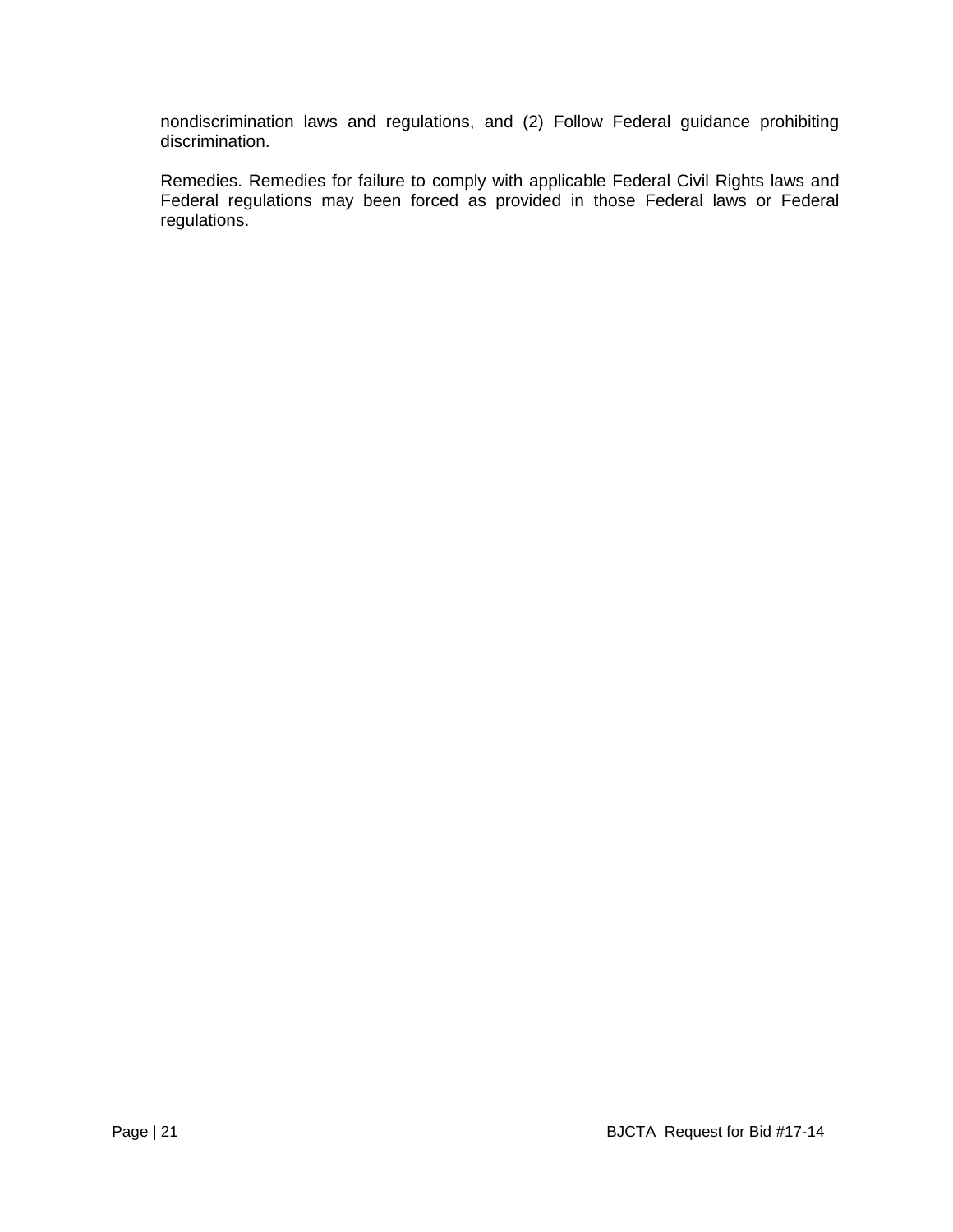nondiscrimination laws and regulations, and (2) Follow Federal guidance prohibiting discrimination.

Remedies. Remedies for failure to comply with applicable Federal Civil Rights laws and Federal regulations may been forced as provided in those Federal laws or Federal regulations.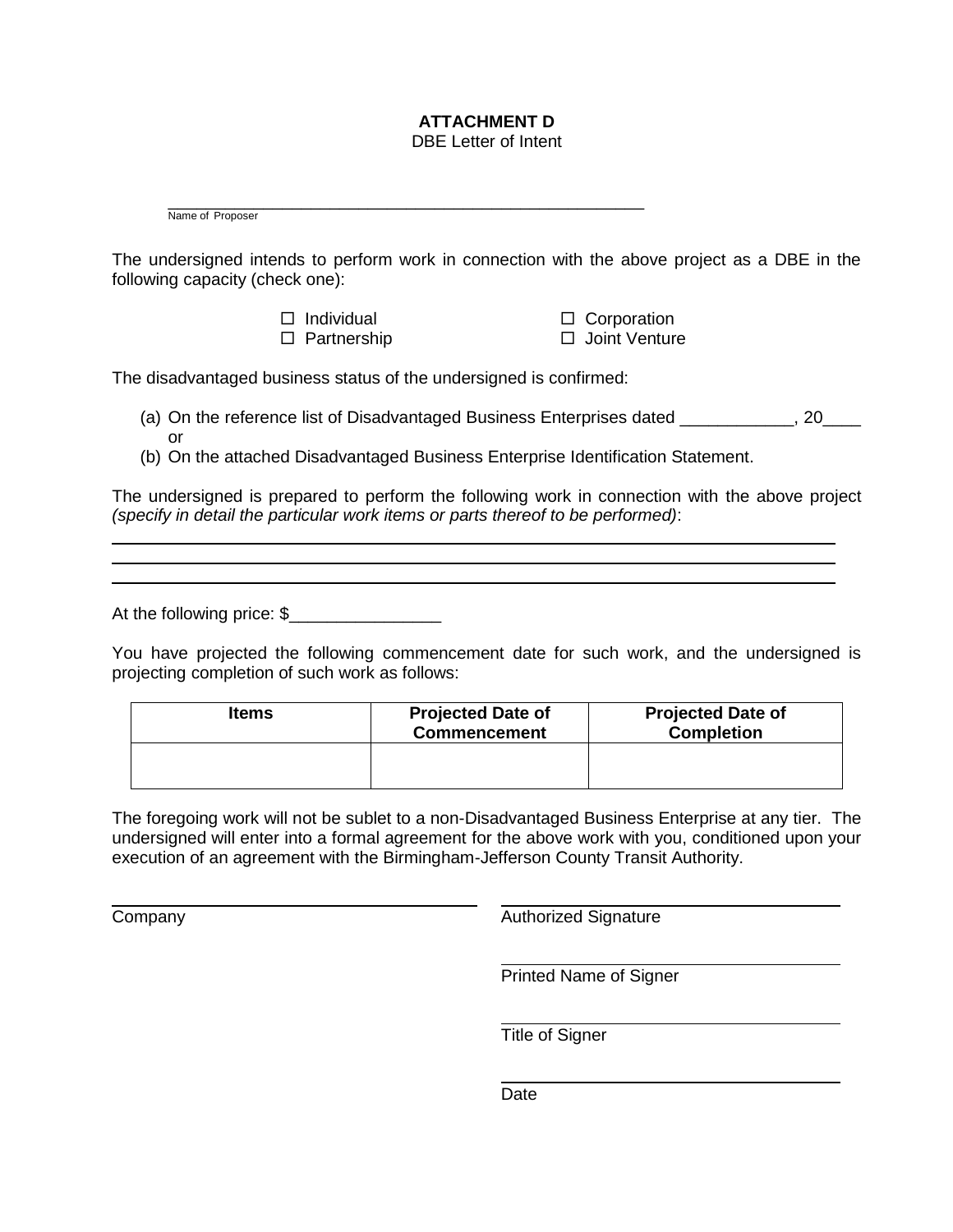# **ATTACHMENT D**

DBE Letter of Intent

\_\_\_\_\_\_\_\_\_\_\_\_\_\_\_\_\_\_\_\_\_\_\_\_\_\_\_\_\_\_\_\_\_\_\_\_\_\_\_\_\_\_\_\_\_\_\_\_\_\_ Name of Proposer

The undersigned intends to perform work in connection with the above project as a DBE in the following capacity (check one):

> $\Box$  Individual  $\Box$  Corporation □ Partnership **□ Joint Venture**

The disadvantaged business status of the undersigned is confirmed:

- (a) On the reference list of Disadvantaged Business Enterprises dated \_\_\_\_\_\_\_\_\_\_\_, 20\_\_\_\_ or
- (b) On the attached Disadvantaged Business Enterprise Identification Statement.

The undersigned is prepared to perform the following work in connection with the above project *(specify in detail the particular work items or parts thereof to be performed)*:

At the following price: \$

You have projected the following commencement date for such work, and the undersigned is projecting completion of such work as follows:

| <b>Items</b> | <b>Projected Date of</b><br><b>Commencement</b> | <b>Projected Date of</b><br><b>Completion</b> |
|--------------|-------------------------------------------------|-----------------------------------------------|
|              |                                                 |                                               |

The foregoing work will not be sublet to a non-Disadvantaged Business Enterprise at any tier. The undersigned will enter into a formal agreement for the above work with you, conditioned upon your execution of an agreement with the Birmingham-Jefferson County Transit Authority.

**Company** Company **Authorized Signature** 

Printed Name of Signer

Title of Signer

**Date**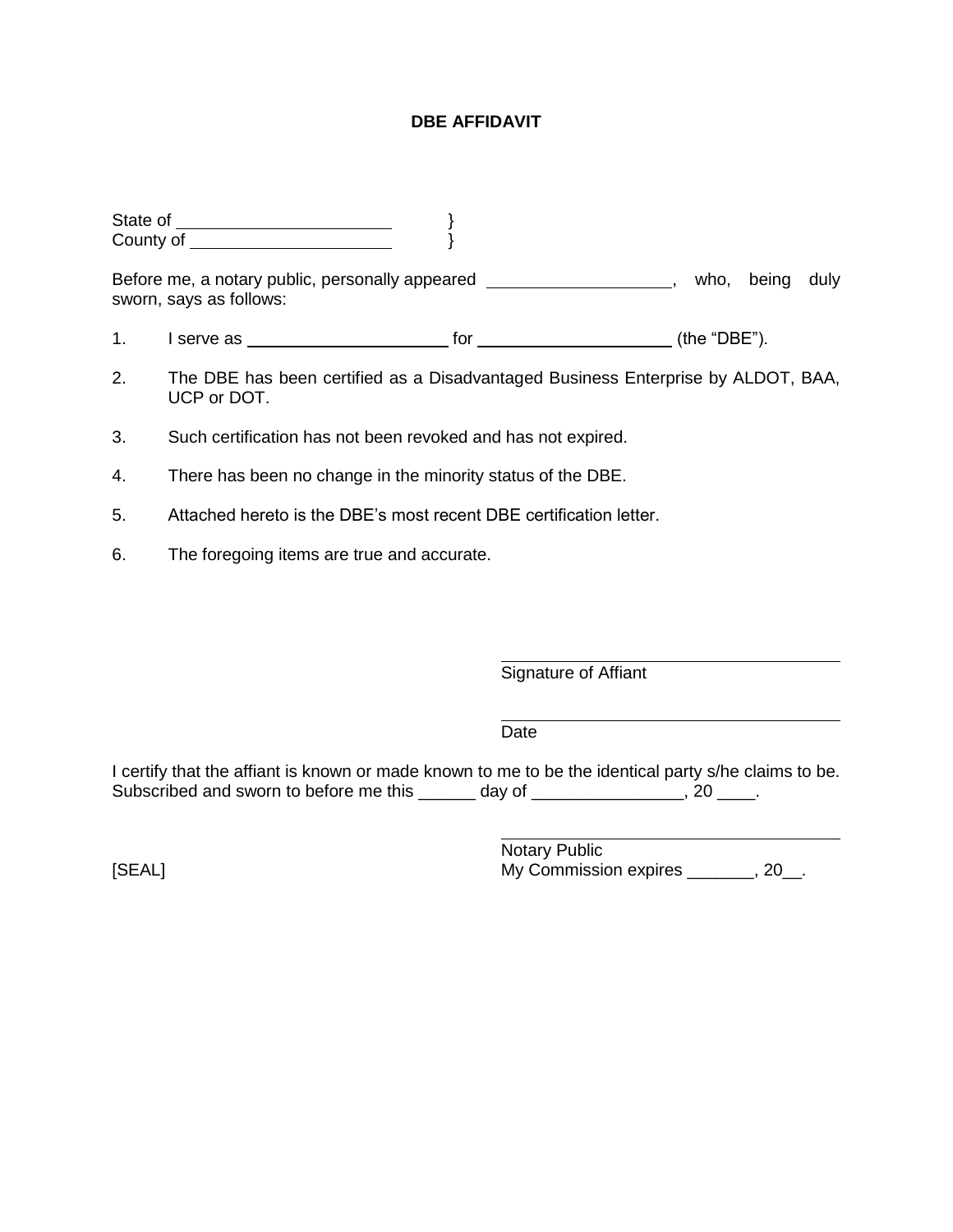#### **DBE AFFIDAVIT**

|    | <b>County of Exercise County of Exercise County of Exercise County of Exercise County of Exercise County of Exercise County of Exercise County of Exercise County of Exercise County of Exercise County of Exercise County of Ex</b> |                  |       |      |
|----|--------------------------------------------------------------------------------------------------------------------------------------------------------------------------------------------------------------------------------------|------------------|-------|------|
|    | Before me, a notary public, personally appeared ________________________________<br>sworn, says as follows:                                                                                                                          | who.             | being | duly |
| 1. |                                                                                                                                                                                                                                      | (the " $DBE$ "). |       |      |
| 2. | The DBE has been certified as a Disadvantaged Business Enterprise by ALDOT, BAA,<br>UCP or DOT.                                                                                                                                      |                  |       |      |
| 3. | Such certification has not been revoked and has not expired.                                                                                                                                                                         |                  |       |      |
|    |                                                                                                                                                                                                                                      |                  |       |      |

- 4. There has been no change in the minority status of the DBE.
- 5. Attached hereto is the DBE's most recent DBE certification letter.
- 6. The foregoing items are true and accurate.

Signature of Affiant

Date

I certify that the affiant is known or made known to me to be the identical party s/he claims to be. Subscribed and sworn to before me this \_\_\_\_\_\_ day of \_\_\_\_\_\_\_\_\_\_\_\_\_\_\_, 20 \_\_\_\_.

Notary Public [SEAL] My Commission expires \_\_\_\_\_, 20\_.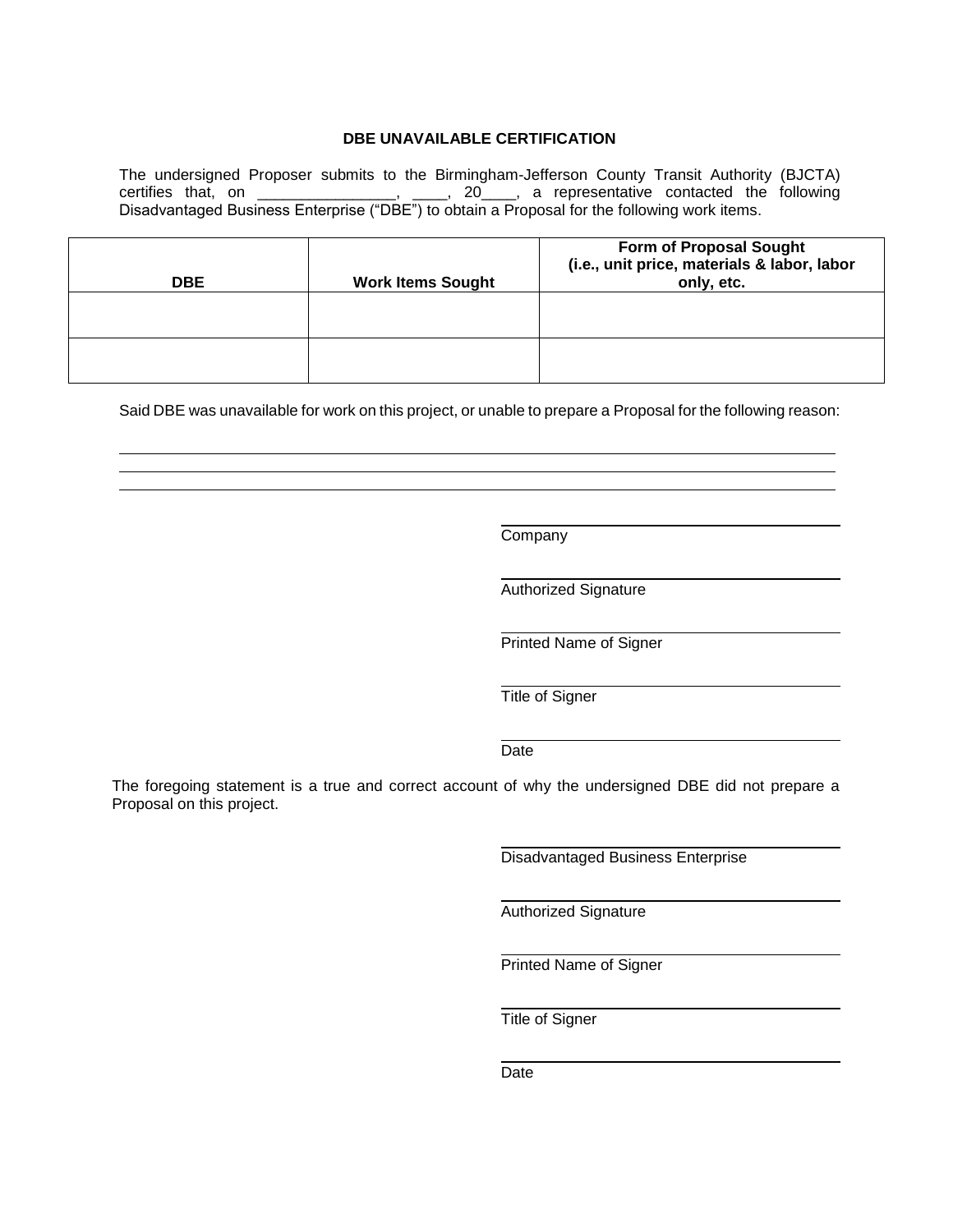#### **DBE UNAVAILABLE CERTIFICATION**

The undersigned Proposer submits to the Birmingham-Jefferson County Transit Authority (BJCTA) certifies that, on \_\_\_\_\_\_\_\_\_\_\_\_\_\_\_\_, \_\_\_\_, 20\_\_\_\_, a representative contacted the following Disadvantaged Business Enterprise ("DBE") to obtain a Proposal for the following work items.

| <b>DBE</b> | <b>Work Items Sought</b> | <b>Form of Proposal Sought</b><br>(i.e., unit price, materials & labor, labor<br>only, etc. |
|------------|--------------------------|---------------------------------------------------------------------------------------------|
|            |                          |                                                                                             |
|            |                          |                                                                                             |

Said DBE was unavailable for work on this project, or unable to prepare a Proposal for the following reason:

Company

Authorized Signature

Printed Name of Signer

Title of Signer

#### Date

The foregoing statement is a true and correct account of why the undersigned DBE did not prepare a Proposal on this project.

Disadvantaged Business Enterprise

Authorized Signature

Printed Name of Signer

Title of Signer

Date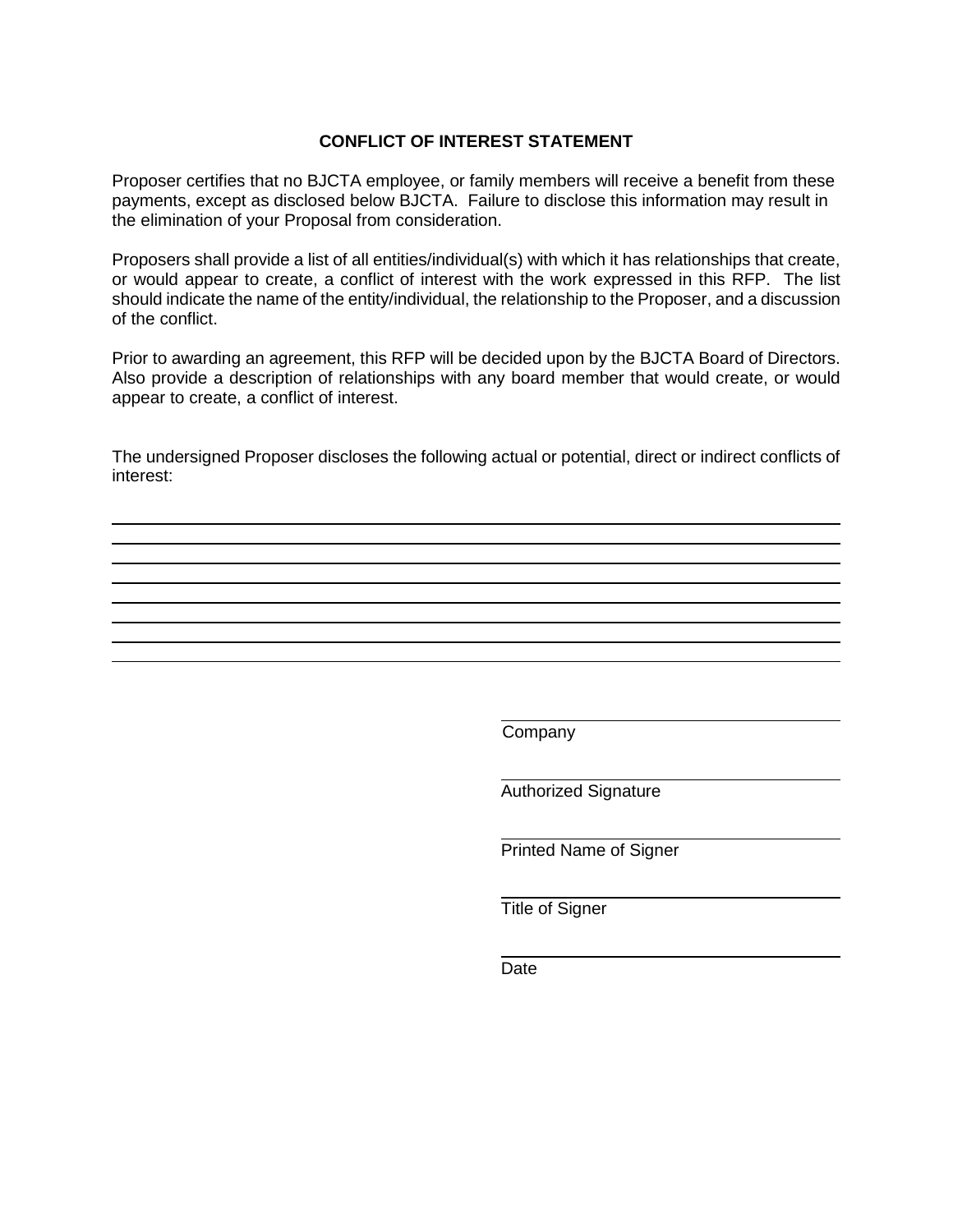#### **CONFLICT OF INTEREST STATEMENT**

Proposer certifies that no BJCTA employee, or family members will receive a benefit from these payments, except as disclosed below BJCTA. Failure to disclose this information may result in the elimination of your Proposal from consideration.

Proposers shall provide a list of all entities/individual(s) with which it has relationships that create, or would appear to create, a conflict of interest with the work expressed in this RFP. The list should indicate the name of the entity/individual, the relationship to the Proposer, and a discussion of the conflict.

Prior to awarding an agreement, this RFP will be decided upon by the BJCTA Board of Directors. Also provide a description of relationships with any board member that would create, or would appear to create, a conflict of interest.

The undersigned Proposer discloses the following actual or potential, direct or indirect conflicts of interest:

Company

Authorized Signature

Printed Name of Signer

Title of Signer

Date